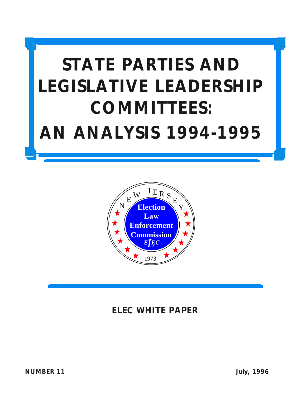# **STATE PARTIES AND LEGISLATIVE LEADERSHIP COMMITTEES: AN ANALYSIS 1994-1995**



### **ELEC WHITE PAPER**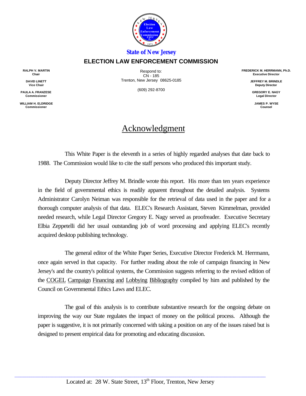

#### *State of New Jersey*

#### **ELECTION LAW ENFORCEMENT COMMISSION**

**RALPH V. MARTIN Chair**

> **DAVID LINETT Vice Chair**

**PAULA A. FRANZESE Commissioner**

**WILLIAM H. ELDRIDGE Commissioner**

Respond to: CN - 185 Trenton, New Jersey 08625-0185

(609) 292-8700

**FREDERICK M. HERRMANN, Ph.D. Executive Director**

> **JEFFREY M. BRINDLE Deputy Director**

**GREGORY E. NAGY Legal Director**

**JAMES P. WYSE Counsel**

#### Acknowledgment

This White Paper is the eleventh in a series of highly regarded analyses that date back to 1988. The Commission would like to cite the staff persons who produced this important study.

Deputy Director Jeffrey M. Brindle wrote this report. His more than ten years experience in the field of governmental ethics is readily apparent throughout the detailed analysis. Systems Administrator Carolyn Neiman was responsible for the retrieval of data used in the paper and for a thorough computer analysis of that data. ELEC's Research Assistant, Steven Kimmelman, provided needed research, while Legal Director Gregory E. Nagy served as proofreader. Executive Secretary Elbia Zeppetelli did her usual outstanding job of word processing and applying ELEC's recently acquired desktop publishing technology.

The general editor of the White Paper Series, Executive Director Frederick M. Herrmann, once again served in that capacity. For further reading about the role of campaign financing in New Jersey's and the country's political systems, the Commission suggests referring to the revised edition of the COGEL Campaign Financing and Lobbying Bibliography compiled by him and published by the Council on Governmental Ethics Laws and ELEC.

The goal of this analysis is to contribute substantive research for the ongoing debate on improving the way our State regulates the impact of money on the political process. Although the paper is suggestive, it is not primarily concerned with taking a position on any of the issues raised but is designed to present empirical data for promoting and educating discussion.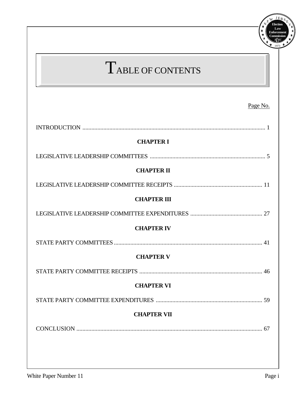| TABLE OF CONTENTS  |          |
|--------------------|----------|
|                    | Page No. |
|                    |          |
| <b>CHAPTER I</b>   |          |
|                    |          |
| <b>CHAPTER II</b>  |          |
|                    |          |
| <b>CHAPTER III</b> |          |
|                    |          |
| <b>CHAPTER IV</b>  |          |
|                    |          |
| <b>CHAPTER V</b>   |          |
|                    |          |
| <b>CHAPTER VI</b>  |          |
|                    |          |
| <b>CHAPTER VII</b> |          |
|                    |          |

**Election**

Y E

NEW JERS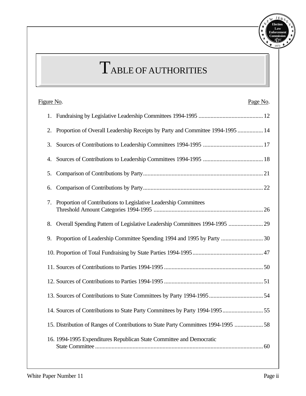

## TABLE OF AUTHORITIES

| Figure No.<br>Page No.                                                               |
|--------------------------------------------------------------------------------------|
|                                                                                      |
| Proportion of Overall Leadership Receipts by Party and Committee 1994-1995  14<br>2. |
| 3.                                                                                   |
| 4.                                                                                   |
| 5.                                                                                   |
| 6.                                                                                   |
| Proportion of Contributions to Legislative Leadership Committees<br>7.               |
| Overall Spending Pattern of Legislative Leadership Committees 1994-1995  29<br>8.    |
| 9.                                                                                   |
|                                                                                      |
|                                                                                      |
|                                                                                      |
|                                                                                      |
|                                                                                      |
| 15. Distribution of Ranges of Contributions to State Party Committees 1994-1995  58  |
| 16. 1994-1995 Expenditures Republican State Committee and Democratic                 |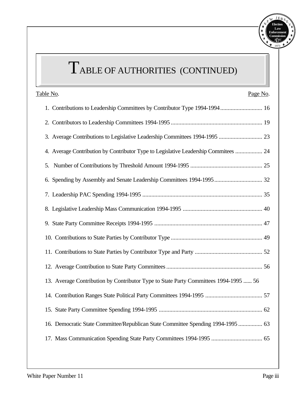

# TABLE OF AUTHORITIES (CONTINUED)

| Table No.<br>Page No.                                                                |
|--------------------------------------------------------------------------------------|
| 1. Contributions to Leadership Committees by Contributor Type 1994-1994 16           |
|                                                                                      |
|                                                                                      |
| 4. Average Contribution by Contributor Type to Legislative Leadership Commitees  24  |
|                                                                                      |
|                                                                                      |
|                                                                                      |
|                                                                                      |
|                                                                                      |
|                                                                                      |
|                                                                                      |
|                                                                                      |
| 13. Average Contribution by Contributor Type to State Party Committees 1994-1995  56 |
|                                                                                      |
|                                                                                      |
| 16. Democratic State Committee/Republican State Committee Spending 1994-1995  63     |
|                                                                                      |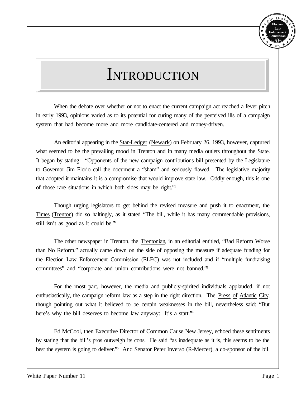

## **INTRODUCTION**

When the debate over whether or not to enact the current campaign act reached a fever pitch in early 1993, opinions varied as to its potential for curing many of the perceived ills of a campaign system that had become more and more candidate-centered and money-driven.

An editorial appearing in the Star-Ledger (Newark) on February 26, 1993, however, captured what seemed to be the prevailing mood in Trenton and in many media outlets throughout the State. It began by stating: "Opponents of the new campaign contributions bill presented by the Legislature to Governor Jim Florio call the document a "sham" and seriously flawed. The legislative majority that adopted it maintains it is a compromise that would improve state law. Oddly enough, this is one of those rare situations in which both sides may be right."<sup>1</sup>

Though urging legislators to get behind the revised measure and push it to enactment, the Times (Trenton) did so haltingly, as it stated "The bill, while it has many commendable provisions, still isn't as good as it could be."<sup>2</sup>

The other newspaper in Trenton, the Trentonian, in an editorial entitled, "Bad Reform Worse than No Reform," actually came down on the side of opposing the measure if adequate funding for the Election Law Enforcement Commission (ELEC) was not included and if "multiple fundraising committees" and "corporate and union contributions were not banned."<sup>3</sup>

For the most part, however, the media and publicly-spirited individuals applauded, if not enthusiastically, the campaign reform law as a step in the right direction. The Press of Atlantic City, though pointing out what it believed to be certain weaknesses in the bill, nevertheless said: "But here's why the bill deserves to become law anyway: It's a start."<sup>4</sup>

Ed McCool, then Executive Director of Common Cause New Jersey, echoed these sentiments by stating that the bill's pros outweigh its cons. He said "as inadequate as it is, this seems to be the best the system is going to deliver.<sup>75</sup> And Senator Peter Inverso (R-Mercer), a co-sponsor of the bill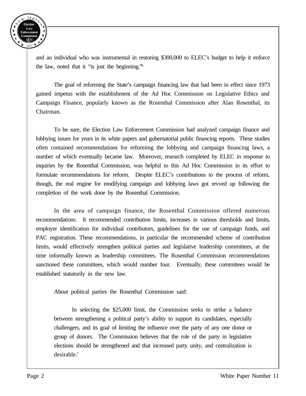

and an individual who was instrumental in restoring \$300,000 to ELEC's budget to help it enforce the law, noted that it "is just the beginning."<sup>6</sup>

The goal of reforming the State's campaign financing law that had been in effect since 1973 gained impetus with the establishment of the Ad Hoc Commission on Legislative Ethics and Campaign Finance, popularly known as the Rosenthal Commission after Alan Rosenthal, its Chairman.

To be sure, the Election Law Enforcement Commission had analyzed campaign finance and lobbying issues for years in its white papers and gubernatorial public financing reports. These studies often contained recommendations for reforming the lobbying and campaign financing laws, a number of which eventually became law. Moreover, research completed by ELEC in response to inquiries by the Rosenthal Commission, was helpful to this Ad Hoc Commission in its effort to formulate recommendations for reform. Despite ELEC's contributions to the process of reform, though, the real engine for modifying campaign and lobbying laws got revved up following the completion of the work done by the Rosenthal Commission.

In the area of campaign finance, the Rosenthal Commission offered numerous recommendations. It recommended contribution limits, increases in various thresholds and limits, employer identification for individual contributors, guidelines for the use of campaign funds, and PAC registration. These recommendations, in particular the recommended scheme of contribution limits, would effectively strengthen political parties and legislative leadership committees, at the time informally known as leadership committees. The Rosenthal Commission recommendations sanctioned these committees, which would number four. Eventually, these committees would be established statutorily in the new law.

About political parties the Rosenthal Commission said:

In selecting the \$25,000 limit, the Commission seeks to strike a balance between strengthening a political party's ability to support its candidates, especially challengers, and its goal of limiting the influence over the party of any one donor or group of donors. The Commission believes that the role of the party in legislative elections should be strengthened and that increased party unity, and centralization is desirable.7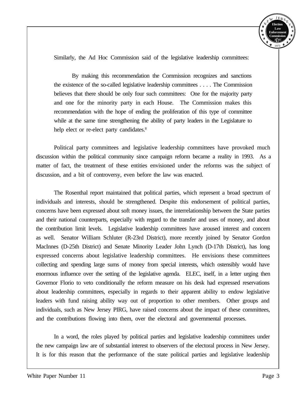

Similarly, the Ad Hoc Commission said of the legislative leadership committees:

By making this recommendation the Commission recognizes and sanctions the existence of the so-called legislative leadership committees . . . . The Commission believes that there should be only four such committees: One for the majority party and one for the minority party in each House. The Commission makes this recommendation with the hope of ending the proliferation of this type of committee while at the same time strengthening the ability of party leaders in the Legislature to help elect or re-elect party candidates.<sup>8</sup>

Political party committees and legislative leadership committees have provoked much discussion within the political community since campaign reform became a reality in 1993. As a matter of fact, the treatment of these entities envisioned under the reforms was the subject of discussion, and a bit of controversy, even before the law was enacted.

The Rosenthal report maintained that political parties, which represent a broad spectrum of individuals and interests, should be strengthened. Despite this endorsement of political parties, concerns have been expressed about soft money issues, the interrelationship between the State parties and their national counterparts, especially with regard to the transfer and uses of money, and about the contribution limit levels. Legislative leadership committees have aroused interest and concern as well. Senator William Schluter (R-23rd District), more recently joined by Senator Gordon MacInnes (D-25th District) and Senate Minority Leader John Lynch (D-17th District), has long expressed concerns about legislative leadership committees. He envisions these committees collecting and spending large sums of money from special interests, which ostensibly would have enormous influence over the setting of the legislative agenda. ELEC, itself, in a letter urging then Governor Florio to veto conditionally the reform measure on his desk had expressed reservations about leadership committees, especially in regards to their apparent ability to endow legislative leaders with fund raising ability way out of proportion to other members. Other groups and individuals, such as New Jersey PIRG, have raised concerns about the impact of these committees, and the contributions flowing into them, over the electoral and governmental processes.

In a word, the roles played by political parties and legislative leadership committees under the new campaign law are of substantial interest to observers of the electoral process in New Jersey. It is for this reason that the performance of the state political parties and legislative leadership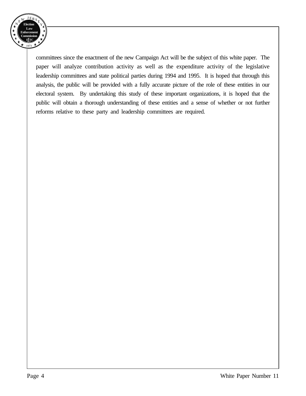

committees since the enactment of the new Campaign Act will be the subject of this white paper. The paper will analyze contribution activity as well as the expenditure activity of the legislative leadership committees and state political parties during 1994 and 1995. It is hoped that through this analysis, the public will be provided with a fully accurate picture of the role of these entities in our electoral system. By undertaking this study of these important organizations, it is hoped that the public will obtain a thorough understanding of these entities and a sense of whether or not further reforms relative to these party and leadership committees are required.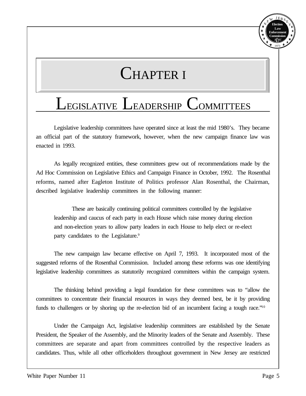#### **Election Law Enforcement Commission** *E EC L* 1973 N E  $J E<sub>D</sub>$ Y E

## CHAPTER I

## LEGISLATIVE LEADERSHIP COMMITTEES

Legislative leadership committees have operated since at least the mid 1980's. They became an official part of the statutory framework, however, when the new campaign finance law was enacted in 1993.

As legally recognized entities, these committees grew out of recommendations made by the Ad Hoc Commission on Legislative Ethics and Campaign Finance in October, 1992. The Rosenthal reforms, named after Eagleton Institute of Politics professor Alan Rosenthal, the Chairman, described legislative leadership committees in the following manner:

These are basically continuing political committees controlled by the legislative leadership and caucus of each party in each House which raise money during election and non-election years to allow party leaders in each House to help elect or re-elect party candidates to the Legislature.<sup>9</sup>

The new campaign law became effective on April 7, 1993. It incorporated most of the suggested reforms of the Rosenthal Commission. Included among these reforms was one identifying legislative leadership committees as statutorily recognized committees within the campaign system.

The thinking behind providing a legal foundation for these committees was to "allow the committees to concentrate their financial resources in ways they deemed best, be it by providing funds to challengers or by shoring up the re-election bid of an incumbent facing a tough race."<sup>10</sup>

Under the Campaign Act, legislative leadership committees are established by the Senate President, the Speaker of the Assembly, and the Minority leaders of the Senate and Assembly. These committees are separate and apart from committees controlled by the respective leaders as candidates. Thus, while all other officeholders throughout government in New Jersey are restricted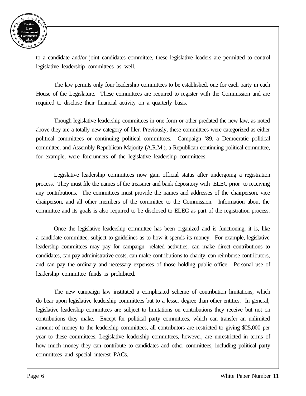

to a candidate and/or joint candidates committee, these legislative leaders are permitted to control legislative leadership committees as well.

The law permits only four leadership committees to be established, one for each party in each House of the Legislature. These committees are required to register with the Commission and are required to disclose their financial activity on a quarterly basis.

Though legislative leadership committees in one form or other predated the new law, as noted above they are a totally new category of filer. Previously, these committees were categorized as either political committees or continuing political committees. Campaign '89, a Democratic political committee, and Assembly Republican Majority (A.R.M.), a Republican continuing political committee, for example, were forerunners of the legislative leadership committees.

Legislative leadership committees now gain official status after undergoing a registration process. They must file the names of the treasurer and bank depository with ELEC prior to receiving any contributions. The committees must provide the names and addresses of the chairperson, vice chairperson, and all other members of the committee to the Commission. Information about the committee and its goals is also required to be disclosed to ELEC as part of the registration process.

Once the legislative leadership committee has been organized and is functioning, it is, like a candidate committee, subject to guidelines as to how it spends its money. For example, legislative leadership committees may pay for campaign-- related activities, can make direct contributions to candidates, can pay administrative costs, can make contributions to charity, can reimburse contributors, and can pay the ordinary and necessary expenses of those holding public office. Personal use of leadership committee funds is prohibited.

The new campaign law instituted a complicated scheme of contribution limitations, which do bear upon legislative leadership committees but to a lesser degree than other entities. In general, legislative leadership committees are subject to limitations on contributions they receive but not on contributions they make. Except for political party committees, which can transfer an unlimited amount of money to the leadership committees, all contributors are restricted to giving \$25,000 per year to these committees. Legislative leadership committees, however, are unrestricted in terms of how much money they can contribute to candidates and other committees, including political party committees and special interest PACs.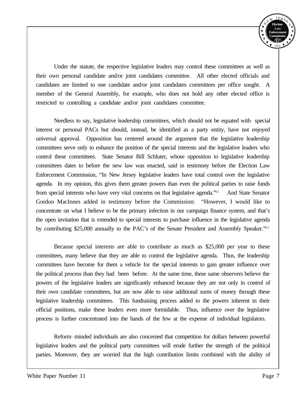

Under the statute, the respective legislative leaders may control these committees as well as their own personal candidate and/or joint candidates committee. All other elected officials and candidates are limited to one candidate and/or joint candidates committees per office sought. A member of the General Assembly, for example, who does not hold any other elected office is restricted to controlling a candidate and/or joint candidates committee.

Needless to say, legislative leadership committees, which should not be equated with special interest or personal PACs but should, instead, be identified as a party entity, have not enjoyed universal approval. Opposition has centered around the argument that the legislative leadership committees serve only to enhance the position of the special interests and the legislative leaders who control these committees. State Senator Bill Schluter, whose opposition to legislative leadership committees dates to before the new law was enacted, said in testimony before the Election Law Enforcement Commission, "In New Jersey legislative leaders have total control over the legislative agenda. In my opinion, this gives them greater powers than even the political parties to raise funds from special interests who have very vital concerns on that legislative agenda."11 And State Senator Gordon MacInnes added in testimony before the Commission: "However, I would like to concentrate on what I believe to be the primary infection in our campaign finance system, and that's the open invitation that is extended to special interests to purchase influence in the legislative agenda by contributing \$25,000 annually to the PAC's of the Senate President and Assembly Speaker."<sup>12</sup>

Because special interests are able to contribute as much as \$25,000 per year to these committees, many believe that they are able to control the legislative agenda. Thus, the leadership committees have become for them a vehicle for the special interests to gain greater influence over the political process than they had been before. At the same time, these same observers believe the powers of the legislative leaders are significantly enhanced because they are not only in control of their own candidate committees, but are now able to raise additional sums of money through these legislative leadership committees. This fundraising process added to the powers inherent in their official positions, make these leaders even more formidable. Thus, influence over the legislative process is further concentrated into the hands of the few at the expense of individual legislators.

Reform\_\_minded individuals are also concerned that competition for dollars between powerful legislative leaders and the political party committees will erode further the strength of the political parties. Moreover, they are worried that the high contribution limits combined with the ability of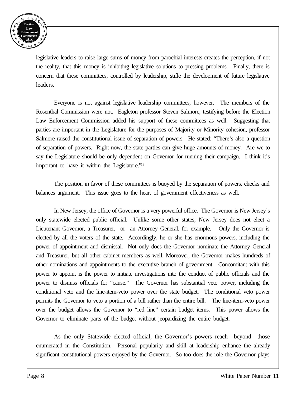

legislative leaders to raise large sums of money from parochial interests creates the perception, if not the reality, that this money is inhibiting legislative solutions to pressing problems. Finally, there is concern that these committees, controlled by leadership, stifle the development of future legislative leaders.

Everyone is not against legislative leadership committees, however. The members of the Rosenthal Commission were not. Eagleton professor Steven Salmore, testifying before the Election Law Enforcement Commission added his support of these committees as well. Suggesting that parties are important in the Legislature for the purposes of Majority or Minority cohesion, professor Salmore raised the constitutional issue of separation of powers. He stated: "There's also a question of separation of powers. Right now, the state parties can give huge amounts of money. Are we to say the Legislature should be only dependent on Governor for running their campaign. I think it's important to have it within the Legislature."<sup>13</sup>

The position in favor of these committees is buoyed by the separation of powers, checks and balances argument. This issue goes to the heart of government effectiveness as well.

In New Jersey, the office of Governor is a very powerful office. The Governor is New Jersey's only statewide elected public official. Unlike some other states, New Jersey does not elect a Lieutenant Governor, a Treasurer, or an Attorney General, for example. Only the Governor is elected by all the voters of the state. Accordingly, he or she has enormous powers, including the power of appointment and dismissal. Not only does the Governor nominate the Attorney General and Treasurer, but all other cabinet members as well. Moreover, the Governor makes hundreds of other nominations and appointments to the executive branch of government. Concomitant with this power to appoint is the power to initiate investigations into the conduct of public officials and the power to dismiss officials for "cause." The Governor has substantial veto power, including the conditional veto and the line-item-veto power over the state budget. The conditional veto power permits the Governor to veto a portion of a bill rather than the entire bill. The line-item-veto power over the budget allows the Governor to "red line" certain budget items. This power allows the Governor to eliminate parts of the budget without jeopardizing the entire budget.

As the only Statewide elected official, the Governor's powers reach beyond those enumerated in the Constitution. Personal popularity and skill at leadership enhance the already significant constitutional powers enjoyed by the Governor. So too does the role the Governor plays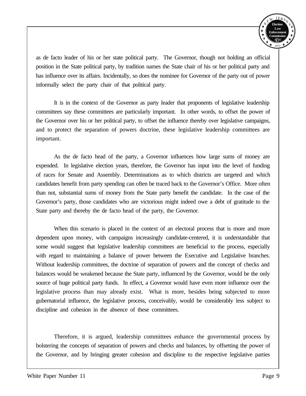

as de facto leader of his or her state political party. The Governor, though not holding an official position in the State political party, by tradition names the State chair of his or her political party and has influence over its affairs. Incidentally, so does the nominee for Governor of the party out of power informally select the party chair of that political party.

It is in the context of the Governor as party leader that proponents of legislative leadership committees say these committees are particularly important. In other words, to offset the power of the Governor over his or her political party, to offset the influence thereby over legislative campaigns, and to protect the separation of powers doctrine, these legislative leadership committees are important.

As the de facto head of the party, a Governor influences how large sums of money are expended. In legislative election years, therefore, the Governor has input into the level of funding of races for Senate and Assembly. Determinations as to which districts are targeted and which candidates benefit from party spending can often be traced back to the Governor's Office. More often than not, substantial sums of money from the State party benefit the candidate. In the case of the Governor's party, those candidates who are victorious might indeed owe a debt of gratitude to the State party and thereby the de facto head of the party, the Governor.

When this scenario is placed in the context of an electoral process that is more and more dependent upon money, with campaigns increasingly candidate-centered, it is understandable that some would suggest that legislative leadership committees are beneficial to the process, especially with regard to maintaining a balance of power between the Executive and Legislative branches. Without leadership committees, the doctrine of separation of powers and the concept of checks and balances would be weakened because the State party, influenced by the Governor, would be the only source of huge political party funds. In effect, a Governor would have even more influence over the legislative process than may already exist. What is more, besides being subjected to more gubernatorial influence, the legislative process, conceivably, would be considerably less subject to discipline and cohesion in the absence of these committees.

Therefore, it is argued, leadership committees enhance the governmental process by bolstering the concepts of separation of powers and checks and balances, by offsetting the power of the Governor, and by bringing greater cohesion and discipline to the respective legislative parties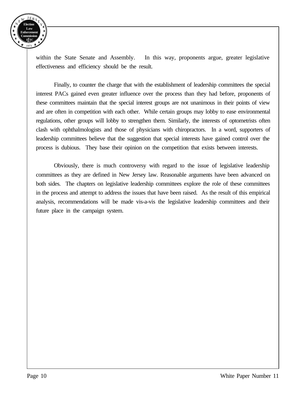

within the State Senate and Assembly. In this way, proponents argue, greater legislative effectiveness and efficiency should be the result.

Finally, to counter the charge that with the establishment of leadership committees the special interest PACs gained even greater influence over the process than they had before, proponents of these committees maintain that the special interest groups are not unanimous in their points of view and are often in competition with each other. While certain groups may lobby to ease environmental regulations, other groups will lobby to strengthen them. Similarly, the interests of optometrists often clash with ophthalmologists and those of physicians with chiropractors. In a word, supporters of leadership committees believe that the suggestion that special interests have gained control over the process is dubious. They base their opinion on the competition that exists between interests.

Obviously, there is much controversy with regard to the issue of legislative leadership committees as they are defined in New Jersey law. Reasonable arguments have been advanced on both sides. The chapters on legislative leadership committees explore the role of these committees in the process and attempt to address the issues that have been raised. As the result of this empirical analysis, recommendations will be made vis-a-vis the legislative leadership committees and their future place in the campaign system.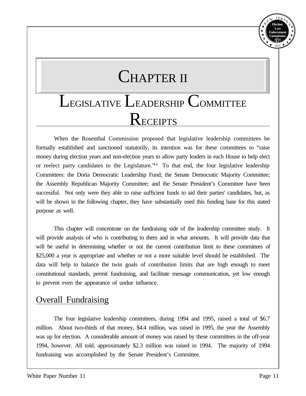## CHAPTER II

## LEGISLATIVE LEADERSHIP COMMITTEE RECEIPTS

When the Rosenthal Commission proposed that legislative leadership committees be formally established and sanctioned statutorily, its intention was for these committees to "raise" money during election years and non-election years to allow party leaders in each House to help elect or reelect party candidates to the Legislature.<sup>"14</sup> To that end, the four legislative leadership Committees: the Doria Democratic Leadership Fund; the Senate Democratic Majority Committee; the Assembly Republican Majority Committee; and the Senate President's Committee have been successful. Not only were they able to raise sufficient funds to aid their parties' candidates, but, as will be shown in the following chapter, they have substantially used this funding base for this stated purpose as well.

This chapter will concentrate on the fundraising side of the leadership committee study. It will provide analysis of who is contributing to them and in what amounts. It will provide data that will be useful in determining whether or not the current contribution limit to these committees of \$25,000 a year is appropriate and whether or not a more suitable level should be established. The data will help to balance the twin goals of contribution limits that are high enough to meet constitutional standards, permit fundraising, and facilitate message communication, yet low enough to prevent even the appearance of undue influence.

#### **Overall Fundraising**

The four legislative leadership committees, during 1994 and 1995, raised a total of \$6.7 million. About two-thirds of that money, \$4.4 million, was raised in 1995, the year the Assembly was up for election. A considerable amount of money was raised by these committees in the off-year 1994, however. All told, approximately \$2.3 million was raised in 1994. The majority of 1994 fundraising was accomplished by the Senate President's Committee.

**Election Law Enforcement Commission** *E EC L* 1973

Y E

 $J E<sub>D</sub>$ 

N E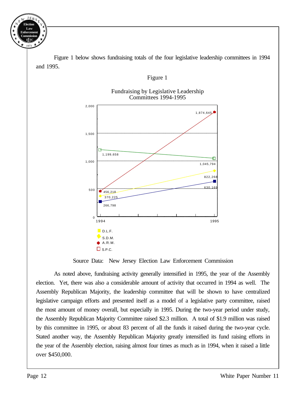**Election Law Enforcement Commission** *E EC L* 1973 N  $E^{\mathbf{W}}$  $JE_R$ Y E

> Figure 1 below shows fundraising totals of the four legislative leadership committees in 1994 and 1995.

#### Figure 1

#### Fundraising by Legislative Leadership Committees 1994-1995



Source Data: New Jersey Election Law Enforcement Commission

As noted above, fundraising activity generally intensified in 1995, the year of the Assembly election. Yet, there was also a considerable amount of activity that occurred in 1994 as well. The Assembly Republican Majority, the leadership committee that will be shown to have centralized legislative campaign efforts and presented itself as a model of a legislative party committee, raised the most amount of money overall, but especially in 1995. During the two-year period under study, the Assembly Republican Majority Committee raised \$2.3 million. A total of \$1.9 million was raised by this committee in 1995, or about 83 percent of all the funds it raised during the two-year cycle. Stated another way, the Assembly Republican Majority greatly intensified its fund raising efforts in the year of the Assembly election, raising almost four times as much as in 1994, when it raised a little over \$450,000.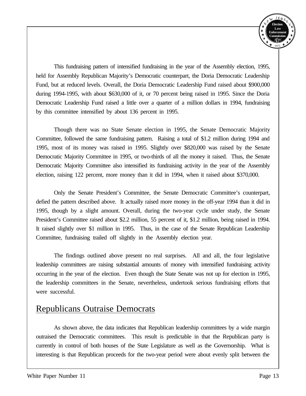

This fundraising pattern of intensified fundraising in the year of the Assembly election, 1995, held for Assembly Republican Majority's Democratic counterpart, the Doria Democratic Leadership Fund, but at reduced levels. Overall, the Doria Democratic Leadership Fund raised about \$900,000 during 1994-1995, with about \$630,000 of it, or 70 percent being raised in 1995. Since the Doria Democratic Leadership Fund raised a little over a quarter of a million dollars in 1994, fundraising by this committee intensified by about 136 percent in 1995.

Though there was no State Senate election in 1995, the Senate Democratic Majority Committee, followed the same fundraising pattern. Raising a total of \$1.2 million during 1994 and 1995, most of its money was raised in 1995. Slightly over \$820,000 was raised by the Senate Democratic Majority Committee in 1995, or two-thirds of all the money it raised. Thus, the Senate Democratic Majority Committee also intensified its fundraising activity in the year of the Assembly election, raising 122 percent, more money than it did in 1994, when it raised about \$370,000.

Only the Senate President's Committee, the Senate Democratic Committee's counterpart, defied the pattern described above. It actually raised more money in the off-year 1994 than it did in 1995, though by a slight amount. Overall, during the two-year cycle under study, the Senate President's Committee raised about \$2.2 million, 55 percent of it, \$1.2 million, being raised in 1994. It raised slightly over \$1 million in 1995. Thus, in the case of the Senate Republican Leadership Committee, fundraising trailed off slightly in the Assembly election year.

The findings outlined above present no real surprises. All and all, the four legislative leadership committees are raising substantial amounts of money with intensified fundraising activity occurring in the year of the election. Even though the State Senate was not up for election in 1995, the leadership committees in the Senate, nevertheless, undertook serious fundraising efforts that were successful.

#### Republicans Outraise Democrats

As shown above, the data indicates that Republican leadership committees by a wide margin outraised the Democratic committees. This result is predictable in that the Republican party is currently in control of both houses of the State Legislature as well as the Governorship. What is interesting is that Republican proceeds for the two-year period were about evenly split between the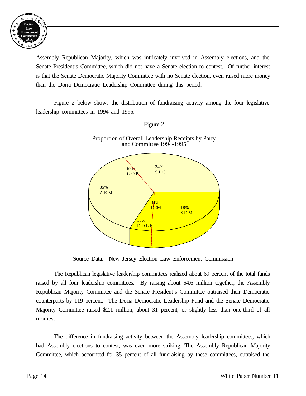

Assembly Republican Majority, which was intricately involved in Assembly elections, and the Senate President's Committee, which did not have a Senate election to contest. Of further interest is that the Senate Democratic Majority Committee with no Senate election, even raised more money than the Doria Democratic Leadership Committee during this period.

Figure 2 below shows the distribution of fundraising activity among the four legislative leadership committees in 1994 and 1995.





Source Data: New Jersey Election Law Enforcement Commission

The Republican legislative leadership committees realized about 69 percent of the total funds raised by all four leadership committees. By raising about \$4.6 million together, the Assembly Republican Majority Committee and the Senate President's Committee outraised their Democratic counterparts by 119 percent. The Doria Democratic Leadership Fund and the Senate Democratic Majority Committee raised \$2.1 million, about 31 percent, or slightly less than one-third of all monies.

The difference in fundraising activity between the Assembly leadership committees, which had Assembly elections to contest, was even more striking. The Assembly Republican Majority Committee, which accounted for 35 percent of all fundraising by these committees, outraised the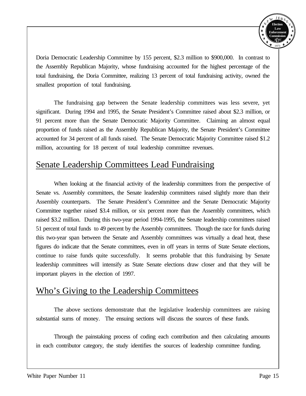

Doria Democratic Leadership Committee by 155 percent, \$2.3 million to \$900,000. In contrast to the Assembly Republican Majority, whose fundraising accounted for the highest percentage of the total fundraising, the Doria Committee, realizing 13 percent of total fundraising activity, owned the smallest proportion of total fundraising.

The fundraising gap between the Senate leadership committees was less severe, yet significant. During 1994 and 1995, the Senate President's Committee raised about \$2.3 million, or 91 percent more than the Senate Democratic Majority Committee. Claiming an almost equal proportion of funds raised as the Assembly Republican Majority, the Senate President's Committee accounted for 34 percent of all funds raised. The Senate Democratic Majority Committee raised \$1.2 million, accounting for 18 percent of total leadership committee revenues.

### Senate Leadership Committees Lead Fundraising

When looking at the financial activity of the leadership committees from the perspective of Senate vs. Assembly committees, the Senate leadership committees raised slightly more than their Assembly counterparts. The Senate President's Committee and the Senate Democratic Majority Committee together raised \$3.4 million, or six percent more than the Assembly committees, which raised \$3.2 million. During this two-year period 1994-1995, the Senate leadership committees raised 51 percent of total funds to 49 percent by the Assembly committees. Though the race for funds during this two-year span between the Senate and Assembly committees was virtually a dead heat, these figures do indicate that the Senate committees, even in off years in terms of State Senate elections, continue to raise funds quite successfully. It seems probable that this fundraising by Senate leadership committees will intensify as State Senate elections draw closer and that they will be important players in the election of 1997.

### Who's Giving to the Leadership Committees

The above sections demonstrate that the legislative leadership committees are raising substantial sums of money. The ensuing sections will discuss the sources of these funds.

Through the painstaking process of coding each contribution and then calculating amounts in each contributor category, the study identifies the sources of leadership committee funding.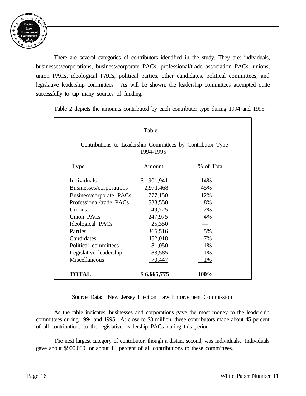

There are several categories of contributors identified in the study. They are: individuals, businesses/corporations, business/corporate PACs, professional/trade association PACs, unions, union PACs, ideological PACs, political parties, other candidates, political committees, and legislative leadership committees. As will be shown, the leadership committees attempted quite successfully to tap many sources of funding.

| Table 1                                                    |               |            |  |  |
|------------------------------------------------------------|---------------|------------|--|--|
| Contributions to Leadership Committees by Contributor Type | 1994-1995     |            |  |  |
| <b>Type</b>                                                | Amount        | % of Total |  |  |
| Individuals                                                | \$<br>901,941 | 14%        |  |  |
| Businesses/corporations                                    | 2,971,468     | 45%        |  |  |
| Business/corporate PACs                                    | 777,150       | 12%        |  |  |
| Professional/trade PACs                                    | 538,550       | 8%         |  |  |
| Unions                                                     | 149,725       | 2%         |  |  |
| Union PACs                                                 | 247,975       | 4%         |  |  |
| Ideological PACs                                           | 25,350        |            |  |  |
| Parties                                                    | 366,516       | 5%         |  |  |
| Candidates                                                 | 452,018       | 7%         |  |  |
| Political committees                                       | 81,050        | 1%         |  |  |
| Legislative leadership                                     | 83,585        | 1%         |  |  |
| Miscellaneous                                              | 70,447        | 1%         |  |  |
| <b>TOTAL</b>                                               | \$6,665,775   | 100%       |  |  |

Table 2 depicts the amounts contributed by each contributor type during 1994 and 1995.

Source Data: New Jersey Election Law Enforcement Commission

As the table indicates, businesses and corporations gave the most money to the leadership committees during 1994 and 1995. At close to \$3 million, these contributors made about 45 percent of all contributions to the legislative leadership PACs during this period.

The next largest category of contributor, though a distant second, was individuals. Individuals gave about \$900,000, or about 14 percent of all contributions to these committees.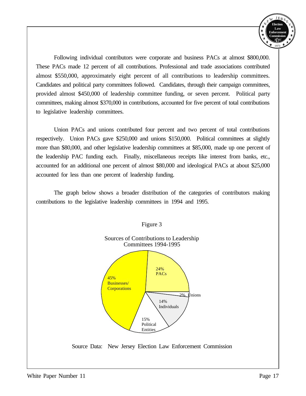

Following individual contributors were corporate and business PACs at almost \$800,000. These PACs made 12 percent of all contributions. Professional and trade associations contributed almost \$550,000, approximately eight percent of all contributions to leadership committees. Candidates and political party committees followed. Candidates, through their campaign committees, provided almost \$450,000 of leadership committee funding, or seven percent. Political party committees, making almost \$370,000 in contributions, accounted for five percent of total contributions to legislative leadership committees.

Union PACs and unions contributed four percent and two percent of total contributions respectively. Union PACs gave \$250,000 and unions \$150,000. Political committees at slightly more than \$80,000, and other legislative leadership committees at \$85,000, made up one percent of the leadership PAC funding each. Finally, miscellaneous receipts like interest from banks, etc., accounted for an additional one percent of almost \$80,000 and ideological PACs at about \$25,000 accounted for less than one percent of leadership funding.

The graph below shows a broader distribution of the categories of contributors making contributions to the legislative leadership committees in 1994 and 1995.



Figure 3

Source Data: New Jersey Election Law Enforcement Commission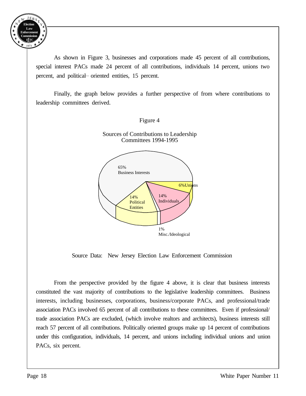

As shown in Figure 3, businesses and corporations made 45 percent of all contributions, special interest PACs made 24 percent of all contributions, individuals 14 percent, unions two percent, and political-oriented entities, 15 percent.

Finally, the graph below provides a further perspective of from where contributions to leadership committees derived.





Source Data: New Jersey Election Law Enforcement Commission

From the perspective provided by the figure 4 above, it is clear that business interests constituted the vast majority of contributions to the legislative leadership committees. Business interests, including businesses, corporations, business/corporate PACs, and professional/trade association PACs involved 65 percent of all contributions to these committees. Even if professional/ trade association PACs are excluded, (which involve realtors and architects), business interests still reach 57 percent of all contributions. Politically oriented groups make up 14 percent of contributions under this configuration, individuals, 14 percent, and unions including individual unions and union PACs, six percent.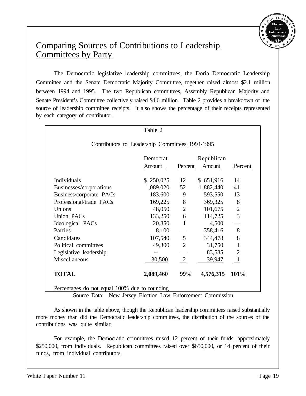

### Comparing Sources of Contributions to Leadership Committees by Party

The Democratic legislative leadership committees, the Doria Democratic Leadership Committee and the Senate Democratic Majority Committee, together raised almost \$2.1 million between 1994 and 1995. The two Republican committees, Assembly Republican Majority and Senate President's Committee collectively raised \$4.6 million. Table 2 provides a breakdown of the source of leadership committee receipts. It also shows the percentage of their receipts represented by each category of contributor.

|                                                 | Table 2   |                |            |                |
|-------------------------------------------------|-----------|----------------|------------|----------------|
| Contributors to Leadership Committees 1994-1995 |           |                |            |                |
|                                                 | Democrat  |                | Republican |                |
|                                                 | Amount    | Percent        | Amount     | Percent        |
| Individuals                                     | \$250,025 | 12             | \$651,916  | 14             |
| Businesses/corporations                         | 1,089,020 | 52             | 1,882,440  | 41             |
| Business/corporate PACs                         | 183,600   | 9              | 593,550    | 13             |
| Professional/trade PACs                         | 169,225   | 8              | 369,325    | 8              |
| Unions                                          | 48,050    | 2              | 101,675    | $\overline{2}$ |
| Union PACs                                      | 133,250   | 6              | 114,725    | 3              |
| Ideological PACs                                | 20,850    | $\mathbf{1}$   | 4,500      |                |
| Parties                                         | 8,100     |                | 358,416    | 8              |
| Candidates                                      | 107,540   | $\mathfrak{S}$ | 344,478    | 8              |
| Political committees                            | 49,300    | $\overline{2}$ | 31,750     | $\mathbf{1}$   |
| Legislative leadership                          |           |                | 83,585     | $\overline{2}$ |
| Miscellaneous                                   | 30,500    | 2              | 39,947     |                |
| <b>TOTAL</b>                                    | 2,089,460 | 99%            | 4,576,315  | 101%           |

Percentages do not equal 100% due to rounding

Source Data: New Jersey Election Law Enforcement Commission

As shown in the table above, though the Republican leadership committees raised substantially more money than did the Democratic leadership committees, the distribution of the sources of the contributions was quite similar.

For example, the Democratic committees raised 12 percent of their funds, approximately \$250,000, from individuals. Republican committees raised over \$650,000, or 14 percent of their funds, from individual contributors.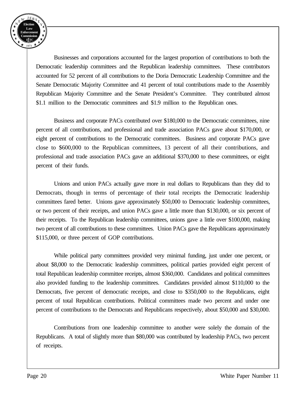

Businesses and corporations accounted for the largest proportion of contributions to both the Democratic leadership committees and the Republican leadership committees. These contributors accounted for 52 percent of all contributions to the Doria Democratic Leadership Committee and the Senate Democratic Majority Committee and 41 percent of total contributions made to the Assembly Republican Majority Committee and the Senate President's Committee. They contributed almost \$1.1 million to the Democratic committees and \$1.9 million to the Republican ones.

Business and corporate PACs contributed over \$180,000 to the Democratic committees, nine percent of all contributions, and professional and trade association PACs gave about \$170,000, or eight percent of contributions to the Democratic committees. Business and corporate PACs gave close to \$600,000 to the Republican committees, 13 percent of all their contributions, and professional and trade association PACs gave an additional \$370,000 to these committees, or eight percent of their funds.

Unions and union PACs actually gave more in real dollars to Republicans than they did to Democrats, though in terms of percentage of their total receipts the Democratic leadership committees fared better. Unions gave approximately \$50,000 to Democratic leadership committees, or two percent of their receipts, and union PACs gave a little more than \$130,000, or six percent of their receipts. To the Republican leadership committees, unions gave a little over \$100,000, making two percent of all contributions to these committees. Union PACs gave the Republicans approximately \$115,000, or three percent of GOP contributions.

While political party committees provided very minimal funding, just under one percent, or about \$8,000 to the Democratic leadership committees, political parties provided eight percent of total Republican leadership committee receipts, almost \$360,000. Candidates and political committees also provided funding to the leadership committees. Candidates provided almost \$110,000 to the Democrats, five percent of democratic receipts, and close to \$350,000 to the Republicans, eight percent of total Republican contributions. Political committees made two percent and under one percent of contributions to the Democrats and Republicans respectively, about \$50,000 and \$30,000.

Contributions from one leadership committee to another were solely the domain of the Republicans. A total of slightly more than \$80,000 was contributed by leadership PACs, two percent of receipts.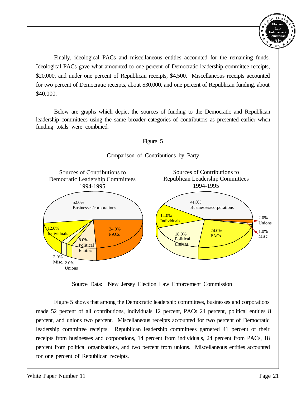

Finally, ideological PACs and miscellaneous entities accounted for the remaining funds. Ideological PACs gave what amounted to one percent of Democratic leadership committee receipts, \$20,000, and under one percent of Republican receipts, \$4,500. Miscellaneous receipts accounted for two percent of Democratic receipts, about \$30,000, and one percent of Republican funding, about \$40,000.

Below are graphs which depict the sources of funding to the Democratic and Republican leadership committees using the same broader categories of contributors as presented earlier when funding totals were combined.



Source Data: New Jersey Election Law Enforcement Commission

Figure 5 shows that among the Democratic leadership committees, businesses and corporations made 52 percent of all contributions, individuals 12 percent, PACs 24 percent, political entities 8 percent, and unions two percent. Miscellaneous receipts accounted for two percent of Democratic leadership committee receipts. Republican leadership committees garnered 41 percent of their receipts from businesses and corporations, 14 percent from individuals, 24 percent from PACs, 18 percent from political organizations, and two percent from unions. Miscellaneous entities accounted for one percent of Republican receipts.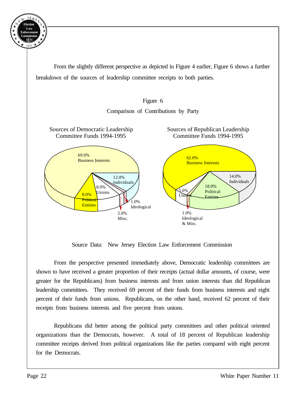

From the slightly different perspective as depicted in Figure 4 earlier, Figure 6 shows a further breakdown of the sources of leadership committee receipts to both parties.





Source Data: New Jersey Election Law Enforcement Commission

From the perspective presented immediately above, Democratic leadership committees are shown to have received a greater proportion of their receipts (actual dollar amounts, of course, were greater for the Republicans) from business interests and from union interests than did Republican leadership committees. They received 69 percent of their funds from business interests and eight percent of their funds from unions. Republicans, on the other hand, received 62 percent of their receipts from business interests and five percent from unions.

Republicans did better among the political party committees and other political oriented organizations than the Democrats, however. A total of 18 percent of Republican leadership committee receipts derived from political organizations like the parties compared with eight percent for the Democrats.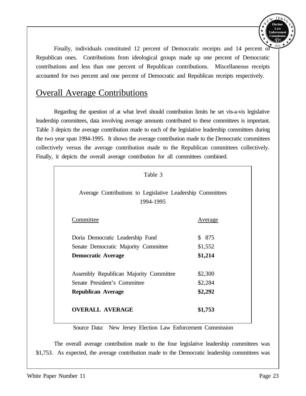

Finally, individuals constituted 12 percent of Democratic receipts and 14 percent of Republican ones. Contributions from ideological groups made up one percent of Democratic contributions and less than one percent of Republican contributions. Miscellaneous receipts accounted for two percent and one percent of Democratic and Republican receipts respectively.

#### Overall Average Contributions

Regarding the question of at what level should contribution limits be set vis-a-vis legislative leadership committees, data involving average amounts contributed to these committees is important. Table 3 depicts the average contribution made to each of the legislative leadership committees during the two year span 1994-1995. It shows the average contribution made to the Democratic committees collectively versus the average contribution made to the Republican committees collectively. Finally, it depicts the overall average contribution for all committees combined.

| Table 3                                                                 |         |
|-------------------------------------------------------------------------|---------|
| Average Contributions to Legislative Leadership Committees<br>1994-1995 |         |
| Committee                                                               | Average |
| Doria Democratic Leadership Fund                                        | \$ 875  |
| Senate Democratic Majority Committee                                    | \$1,552 |
| <b>Democratic Average</b>                                               | \$1,214 |
| Assembly Republican Majority Committee                                  | \$2,300 |
| Senate President's Committee                                            | \$2,284 |
| <b>Republican Average</b>                                               | \$2,292 |
| <b>OVERALL AVERAGE</b>                                                  | \$1,753 |

Source Data: New Jersey Election Law Enforcement Commission

The overall average contribution made to the four legislative leadership committees was \$1,753. As expected, the average contribution made to the Democratic leadership committees was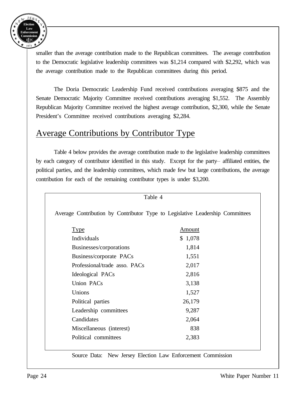

smaller than the average contribution made to the Republican committees. The average contribution to the Democratic legislative leadership committees was \$1,214 compared with \$2,292, which was the average contribution made to the Republican committees during this period.

The Doria Democratic Leadership Fund received contributions averaging \$875 and the Senate Democratic Majority Committee received contributions averaging \$1,552. The Assembly Republican Majority Committee received the highest average contribution, \$2,300, while the Senate President's Committee received contributions averaging \$2,284.

### Average Contributions by Contributor Type

Table 4 below provides the average contribution made to the legislative leadership committees by each category of contributor identified in this study. Except for the party-affiliated entities, the political parties, and the leadership committees, which made few but large contributions, the average contribution for each of the remaining contributor types is under \$3,200.

| Average Contribution by Contributor Type to Legislative Leadership Committees |         |
|-------------------------------------------------------------------------------|---------|
| <b>Type</b>                                                                   | Amount  |
| Individuals                                                                   | \$1,078 |
| Businesses/corporations                                                       | 1,814   |
| Business/corporate PACs                                                       | 1,551   |
| Professional/trade asso. PACs                                                 | 2,017   |
| Ideological PACs                                                              | 2,816   |
| <b>Union PACs</b>                                                             | 3,138   |
| Unions                                                                        | 1,527   |
| Political parties                                                             | 26,179  |
| Leadership committees                                                         | 9,287   |
| Candidates                                                                    | 2,064   |
| Miscellaneous (interest)                                                      | 838     |
| Political committees                                                          | 2,383   |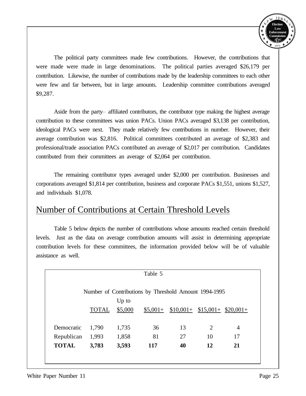

The political party committees made few contributions. However, the contributions that were made were made in large denominations. The political parties averaged \$26,179 per contribution. Likewise, the number of contributions made by the leadership committees to each other were few and far between, but in large amounts. Leadership committee contributions averaged \$9,287.

Aside from the party-- affiliated contributors, the contributor type making the highest average contribution to these committees was union PACs. Union PACs averaged \$3,138 per contribution, ideological PACs were next. They made relatively few contributions in number. However, their average contribution was \$2,816. Political committees contributed an average of \$2,383 and professional/trade association PACs contributed an average of \$2,017 per contribution. Candidates contributed from their committees an average of \$2,064 per contribution.

The remaining contributor types averaged under \$2,000 per contribution. Businesses and corporations averaged \$1,814 per contribution, business and corporate PACs \$1,551, unions \$1,527, and individuals \$1,078.

#### Number of Contributions at Certain Threshold Levels

Table 5 below depicts the number of contributions whose amounts reached certain threshold levels. Just as the data on average contribution amounts will assist in determining appropriate contribution levels for these committees, the information provided below will be of valuable assistance as well.

|              |              |         | Table 5    |                                                       |                |    |
|--------------|--------------|---------|------------|-------------------------------------------------------|----------------|----|
|              |              |         |            | Number of Contributions by Threshold Amount 1994-1995 |                |    |
|              |              | $Up$ to |            |                                                       |                |    |
|              | <b>TOTAL</b> | \$5,000 |            | $$5,001+ $10,001+ $15,001+ $20,001+$                  |                |    |
|              |              |         |            |                                                       |                |    |
| Democratic   | 1,790        | 1,735   | 36         | 13                                                    | $\overline{2}$ | 4  |
| Republican   | 1,993        | 1,858   | 81         | 27                                                    | 10             | 17 |
| <b>TOTAL</b> | 3,783        | 3,593   | <b>117</b> | 40                                                    | 12             | 21 |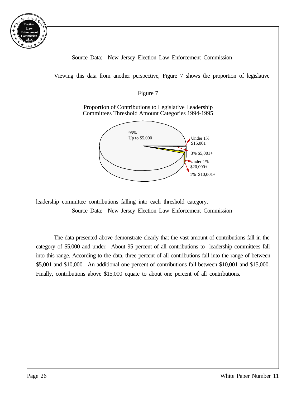

Source Data: New Jersey Election Law Enforcement Commission

Viewing this data from another perspective, Figure 7 shows the proportion of legislative

Figure 7

Proportion of Contributions to Legislative Leadership Committees Threshold Amount Categories 1994-1995



leadership committee contributions falling into each threshold category.

Source Data: New Jersey Election Law Enforcement Commission

The data presented above demonstrate clearly that the vast amount of contributions fall in the category of \$5,000 and under. About 95 percent of all contributions to leadership committees fall into this range. According to the data, three percent of all contributions fall into the range of between \$5,001 and \$10,000. An additional one percent of contributions fall between \$10,001 and \$15,000. Finally, contributions above \$15,000 equate to about one percent of all contributions.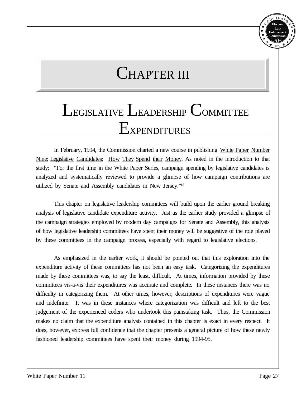#### **Election Law Enforcement Commission** *E EC L* 1973 N E  $J E<sub>E</sub>$ Y E

## CHAPTER III

## LEGISLATIVE LEADERSHIP COMMITTEE Expenditures

In February, 1994, the Commission charted a new course in publishing White Paper Number Nine: Legislative Candidates: How They Spend their Money. As noted in the introduction to that study: "For the first time in the White Paper Series, campaign spending by legislative candidates is analyzed and systematically reviewed to provide a glimpse of how campaign contributions are utilized by Senate and Assembly candidates in New Jersey."<sup>15</sup>

This chapter on legislative leadership committees will build upon the earlier ground breaking analysis of legislative candidate expenditure activity. Just as the earlier study provided a glimpse of the campaign strategies employed by modern day campaigns for Senate and Assembly, this analysis of how legislative leadership committees have spent their money will be suggestive of the role played by these committees in the campaign process, especially with regard to legislative elections.

As emphasized in the earlier work, it should be pointed out that this exploration into the expenditure activity of these committees has not been an easy task. Categorizing the expenditures made by these committees was, to say the least, difficult. At times, information provided by these committees vis-a-vis their expenditures was accurate and complete. In these instances there was no difficulty in categorizing them. At other times, however, descriptions of expenditures were vague and indefinite. It was in these instances where categorization was difficult and left to the best judgement of the experienced coders who undertook this painstaking task. Thus, the Commission makes no claim that the expenditure analysis contained in this chapter is exact in every respect. It does, however, express full confidence that the chapter presents a general picture of how these newly fashioned leadership committees have spent their money during 1994-95.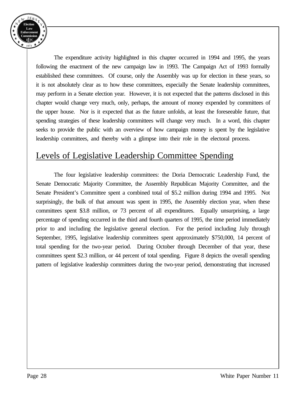

The expenditure activity highlighted in this chapter occurred in 1994 and 1995, the years following the enactment of the new campaign law in 1993. The Campaign Act of 1993 formally established these committees. Of course, only the Assembly was up for election in these years, so it is not absolutely clear as to how these committees, especially the Senate leadership committees, may perform in a Senate election year. However, it is not expected that the patterns disclosed in this chapter would change very much, only, perhaps, the amount of money expended by committees of the upper house. Nor is it expected that as the future unfolds, at least the foreseeable future, that spending strategies of these leadership committees will change very much. In a word, this chapter seeks to provide the public with an overview of how campaign money is spent by the legislative leadership committees, and thereby with a glimpse into their role in the electoral process.

### Levels of Legislative Leadership Committee Spending

The four legislative leadership committees: the Doria Democratic Leadership Fund, the Senate Democratic Majority Committee, the Assembly Republican Majority Committee, and the Senate President's Committee spent a combined total of \$5.2 million during 1994 and 1995. Not surprisingly, the bulk of that amount was spent in 1995, the Assembly election year, when these committees spent \$3.8 million, or 73 percent of all expenditures. Equally unsurprising, a large percentage of spending occurred in the third and fourth quarters of 1995, the time period immediately prior to and including the legislative general election. For the period including July through September, 1995, legislative leadership committees spent approximately \$750,000, 14 percent of total spending for the two-year period. During October through December of that year, these committees spent \$2.3 million, or 44 percent of total spending. Figure 8 depicts the overall spending pattern of legislative leadership committees during the two-year period, demonstrating that increased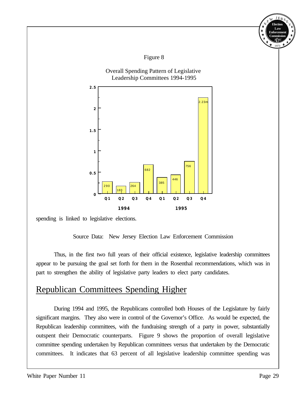

spending is linked to legislative elections.

Source Data: New Jersey Election Law Enforcement Commission

Thus, in the first two full years of their official existence, legislative leadership committees appear to be pursuing the goal set forth for them in the Rosenthal recommendations, which was in part to strengthen the ability of legislative party leaders to elect party candidates.

### Republican Committees Spending Higher

During 1994 and 1995, the Republicans controlled both Houses of the Legislature by fairly significant margins. They also were in control of the Governor's Office. As would be expected, the Republican leadership committees, with the fundraising strength of a party in power, substantially outspent their Democratic counterparts. Figure 9 shows the proportion of overall legislative committee spending undertaken by Republican committees versus that undertaken by the Democratic committees. It indicates that 63 percent of all legislative leadership committee spending was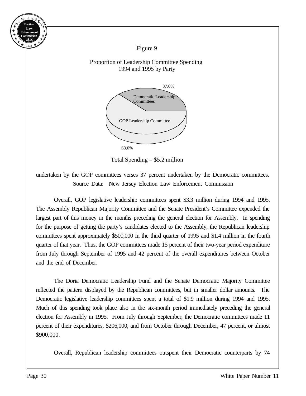Figure 9

#### Proportion of Leadership Committee Spending 1994 and 1995 by Party



Total Spending  $= $5.2$  million

undertaken by the GOP committees verses 37 percent undertaken by the Democratic committees. Source Data: New Jersey Election Law Enforcement Commission

Overall, GOP legislative leadership committees spent \$3.3 million during 1994 and 1995. The Assembly Republican Majority Committee and the Senate President's Committee expended the largest part of this money in the months preceding the general election for Assembly. In spending for the purpose of getting the party's candidates elected to the Assembly, the Republican leadership committees spent approximately \$500,000 in the third quarter of 1995 and \$1.4 million in the fourth quarter of that year. Thus, the GOP committees made 15 percent of their two-year period expenditure from July through September of 1995 and 42 percent of the overall expenditures between October and the end of December.

The Doria Democratic Leadership Fund and the Senate Democratic Majority Committee reflected the pattern displayed by the Republican committees, but in smaller dollar amounts. The Democratic legislative leadership committees spent a total of \$1.9 million during 1994 and 1995. Much of this spending took place also in the six-month period immediately preceding the general election for Assembly in 1995. From July through September, the Democratic committees made 11 percent of their expenditures, \$206,000, and from October through December, 47 percent, or almost \$900,000.

Overall, Republican leadership committees outspent their Democratic counterparts by 74

**Election Law Enforcement Commission** *E EC L* 1973

Y E

N E W JERS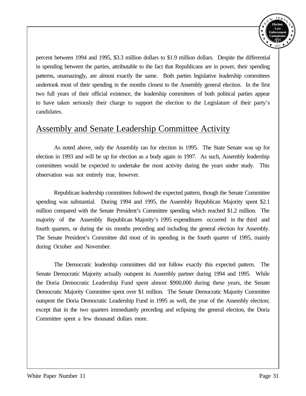

percent between 1994 and 1995, \$3.3 million dollars to \$1.9 million dollars. Despite the differential in spending between the parties, attributable to the fact that Republicans are in power, their spending patterns, unamazingly, are almost exactly the same. Both parties legislative leadership committees undertook most of their spending in the months closest to the Assembly general election. In the first two full years of their official existence, the leadership committees of both political parties appear to have taken seriously their charge to support the election to the Legislature of their party's candidates.

### Assembly and Senate Leadership Committee Activity

As noted above, only the Assembly ran for election in 1995. The State Senate was up for election in 1993 and will be up for election as a body again in 1997. As such, Assembly leadership committees would be expected to undertake the most activity during the years under study. This observation was not entirely true, however.

Republican leadership committees followed the expected pattern, though the Senate Committee spending was substantial. During 1994 and 1995, the Assembly Republican Majority spent \$2.1 million compared with the Senate President's Committee spending which reached \$1.2 million. The majority of the Assembly Republican Majority's 1995 expenditures occurred in the third and fourth quarters, or during the six months preceding and including the general election for Assembly. The Senate President's Committee did most of its spending in the fourth quarter of 1995, mainly during October and November.

The Democratic leadership committees did not follow exactly this expected pattern. The Senate Democratic Majority actually outspent its Assembly partner during 1994 and 1995. While the Doria Democratic Leadership Fund spent almost \$900,000 during these years, the Senate Democratic Majority Committee spent over \$1 million. The Senate Democratic Majority Committee outspent the Doria Democratic Leadership Fund in 1995 as well, the year of the Assembly election; except that in the two quarters immediately preceding and eclipsing the general election, the Doria Committee spent a few thousand dollars more.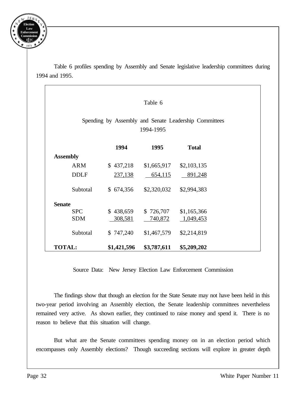

Table 6 profiles spending by Assembly and Senate legislative leadership committees during 1994 and 1995.

|                 |                                                                    |             | Table 6     |              |  |  |  |
|-----------------|--------------------------------------------------------------------|-------------|-------------|--------------|--|--|--|
|                 | Spending by Assembly and Senate Leadership Committees<br>1994-1995 |             |             |              |  |  |  |
|                 |                                                                    | 1994        | 1995        | <b>Total</b> |  |  |  |
| <b>Assembly</b> |                                                                    |             |             |              |  |  |  |
|                 | <b>ARM</b>                                                         | \$437,218   | \$1,665,917 | \$2,103,135  |  |  |  |
|                 | <b>DDLF</b>                                                        | 237,138     | 654,115     | 891,248      |  |  |  |
|                 | Subtotal                                                           | \$674,356   | \$2,320,032 | \$2,994,383  |  |  |  |
| <b>Senate</b>   |                                                                    |             |             |              |  |  |  |
|                 | <b>SPC</b>                                                         | \$438,659   | \$726,707   | \$1,165,366  |  |  |  |
|                 | <b>SDM</b>                                                         | 308,581     | 740,872     | 1,049,453    |  |  |  |
|                 | Subtotal                                                           | \$747,240   | \$1,467,579 | \$2,214,819  |  |  |  |
| <b>TOTAL:</b>   |                                                                    | \$1,421,596 | \$3,787,611 | \$5,209,202  |  |  |  |

Source Data: New Jersey Election Law Enforcement Commission

The findings show that though an election for the State Senate may not have been held in this two-year period involving an Assembly election, the Senate leadership committees nevertheless remained very active. As shown earlier, they continued to raise money and spend it. There is no reason to believe that this situation will change.

But what are the Senate committees spending money on in an election period which encompasses only Assembly elections? Though succeeding sections will explore in greater depth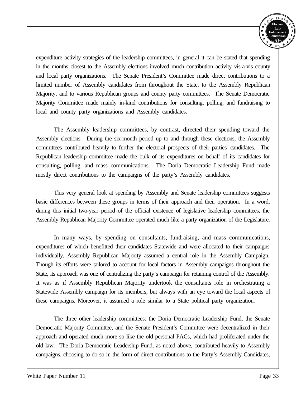

expenditure activity strategies of the leadership committees, in general it can be stated that spending in the months closest to the Assembly elections involved much contribution activity vis-a-vis county and local party organizations. The Senate President's Committee made direct contributions to a limited number of Assembly candidates from throughout the State, to the Assembly Republican Majority, and to various Republican groups and county party committees. The Senate Democratic Majority Committee made mainly in-kind contributions for consulting, polling, and fundraising to local and county party organizations and Assembly candidates.

The Assembly leadership committees, by contrast, directed their spending toward the Assembly elections. During the six-month period up to and through these elections, the Assembly committees contributed heavily to further the electoral prospects of their parties' candidates. The Republican leadership committee made the bulk of its expenditures on behalf of its candidates for consulting, polling, and mass communications. The Doria Democratic Leadership Fund made mostly direct contributions to the campaigns of the party's Assembly candidates.

This very general look at spending by Assembly and Senate leadership committees suggests basic differences between these groups in terms of their approach and their operation. In a word, during this initial two-year period of the official existence of legislative leadership committees, the Assembly Republican Majority Committee operated much like a party organization of the Legislature.

In many ways, by spending on consultants, fundraising, and mass communications, expenditures of which benefitted their candidates Statewide and were allocated to their campaigns individually, Assembly Republican Majority assumed a central role in the Assembly Campaign. Though its efforts were tailored to account for local factors in Assembly campaigns throughout the State, its approach was one of centralizing the party's campaign for retaining control of the Assembly. It was as if Assembly Republican Majority undertook the consultants role in orchestrating a Statewide Assembly campaign for its members, but always with an eye toward the local aspects of these campaigns. Moreover, it assumed a role similar to a State political party organization.

The three other leadership committees: the Doria Democratic Leadership Fund, the Senate Democratic Majority Committee, and the Senate President's Committee were decentralized in their approach and operated much more so like the old personal PACs, which had proliferated under the old law. The Doria Democratic Leadership Fund, as noted above, contributed heavily to Assembly campaigns, choosing to do so in the form of direct contributions to the Party's Assembly Candidates,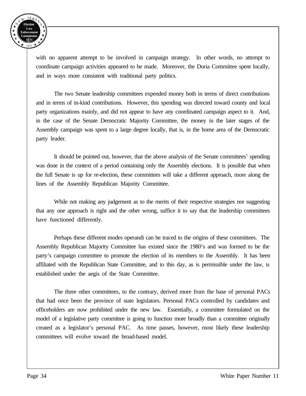

with no apparent attempt to be involved in campaign strategy. In other words, no attempt to coordinate campaign activities appeared to be made. Moreover, the Doria Committee spent locally, and in ways more consistent with traditional party politics.

The two Senate leadership committees expended money both in terms of direct contributions and in terms of in-kind contributions. However, this spending was directed toward county and local party organizations mainly, and did not appear to have any coordinated campaign aspect to it. And, in the case of the Senate Democratic Majority Committee, the money in the later stages of the Assembly campaign was spent to a large degree locally, that is, in the home area of the Democratic party leader.

It should be pointed out, however, that the above analysis of the Senate committees' spending was done in the context of a period containing only the Assembly elections. It is possible that when the full Senate is up for re-election, these committees will take a different approach, more along the lines of the Assembly Republican Majority Committee.

While not making any judgement as to the merits of their respective strategies nor suggesting that any one approach is right and the other wrong, suffice it to say that the leadership committees have functioned differently.

Perhaps these different modes operandi can be traced to the origins of these committees. The Assembly Republican Majority Committee has existed since the 1980's and was formed to be the party's campaign committee to promote the election of its members to the Assembly. It has been affiliated with the Republican State Committee, and to this day, as is permissible under the law, is established under the aegis of the State Committee.

The three other committees, to the contrary, derived more from the base of personal PACs that had once been the province of state legislators. Personal PACs controlled by candidates and officeholders are now prohibited under the new law. Essentially, a committee formulated on the model of a legislative party committee is going to function more broadly than a committee originally created as a legislator's personal PAC. As time passes, however, most likely these leadership committees will evolve toward the broad-based model.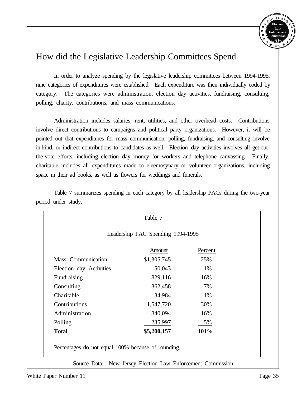

#### How did the Legislative Leadership Committees Spend

In order to analyze spending by the legislative leadership committees between 1994-1995, nine categories of expenditures were established. Each expenditure was then individually coded by category. The categories were administration, election-day activities, fundraising, consulting, polling, charity, contributions, and mass communications.

Administration includes salaries, rent, utilities, and other overhead costs. Contributions involve direct contributions to campaigns and political party organizations. However, it will be pointed out that expenditures for mass communication, polling, fundraising, and consulting involve in-kind, or indirect contributions to candidates as well. Election-day activities involves all get-outthe-vote efforts, including election--day money for workers and telephone canvassing. Finally, charitable includes all expenditures made to eleemosynary or volunteer organizations, including space in their ad books, as well as flowers for weddings and funerals.

|                         | Leadership PAC Spending 1994-1995 |      |  |  |  |
|-------------------------|-----------------------------------|------|--|--|--|
| Percent<br>Amount       |                                   |      |  |  |  |
| Mass Communication      | \$1,305,745                       | 25%  |  |  |  |
| Election-day Activities | 50,043                            | 1%   |  |  |  |
| Fundraising             | 829,116                           | 16%  |  |  |  |
| Consulting              | 362,458                           | 7%   |  |  |  |
| Charitable              | 34,984                            | 1%   |  |  |  |
| Contributions           | 1,547,720                         | 30%  |  |  |  |
| Administration          | 840,094                           | 16%  |  |  |  |
| Polling                 | 235,997                           | 5%   |  |  |  |
| <b>Total</b>            | \$5,200,157                       | 101% |  |  |  |

Table 7 summarizes spending in each category by all leadership PACs during the two-year period under study.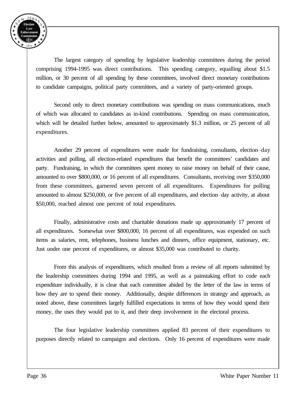

The largest category of spending by legislative leadership committees during the period comprising 1994-1995 was direct contributions. This spending category, equalling about \$1.5 million, or 30 percent of all spending by these committees, involved direct monetary contributions to candidate campaigns, political party committees, and a variety of party-oriented groups.

Second only to direct monetary contributions was spending on mass communications, much of which was allocated to candidates as in-kind contributions. Spending on mass communication, which will be detailed further below, amounted to approximately \$1.3 million, or 25 percent of all expenditures.

Another 29 percent of expenditures were made for fundraising, consultants, election-day activities and polling, all election-related expenditures that benefit the committees' candidates and party. Fundraising, in which the committees spent money to raise money on behalf of their cause, amounted to over \$800,000, or 16 percent of all expenditures. Consultants, receiving over \$350,000 from these committees, garnered seven percent of all expenditures. Expenditures for polling amounted to almost \$250,000, or five percent of all expenditures, and election-day activity, at about \$50,000, reached almost one percent of total expenditures.

Finally, administrative costs and charitable donations made up approximately 17 percent of all expenditures. Somewhat over \$800,000, 16 percent of all expenditures, was expended on such items as salaries, rent, telephones, business lunches and dinners, office equipment, stationary, etc. Just under one percent of expenditures, or almost \$35,000 was contributed to charity.

From this analysis of expenditures, which resulted from a review of all reports submitted by the leadership committees during 1994 and 1995, as well as a painstaking effort to code each expenditure individually, it is clear that each committee abided by the letter of the law in terms of how they are to spend their money. Additionally, despite differences in strategy and approach, as noted above, these committees largely fulfilled expectations in terms of how they would spend their money, the uses they would put to it, and their deep involvement in the electoral process.

The four legislative leadership committees applied 83 percent of their expenditures to purposes directly related to campaigns and elections. Only 16 percent of expenditures were made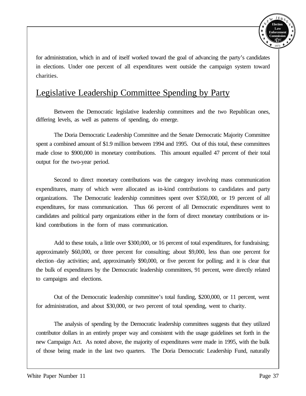

for administration, which in and of itself worked toward the goal of advancing the party's candidates in elections. Under one percent of all expenditures went outside the campaign system toward charities.

#### Legislative Leadership Committee Spending by Party

Between the Democratic legislative leadership committees and the two Republican ones, differing levels, as well as patterns of spending, do emerge.

The Doria Democratic Leadership Committee and the Senate Democratic Majority Committee spent a combined amount of \$1.9 million between 1994 and 1995. Out of this total, these committees made close to \$900,000 in monetary contributions. This amount equalled 47 percent of their total output for the two-year period.

Second to direct monetary contributions was the category involving mass communication expenditures, many of which were allocated as in-kind contributions to candidates and party organizations. The Democratic leadership committees spent over \$350,000, or 19 percent of all expenditures, for mass communication. Thus 66 percent of all Democratic expenditures went to candidates and political party organizations either in the form of direct monetary contributions or inkind contributions in the form of mass communication.

Add to these totals, a little over \$300,000, or 16 percent of total expenditures, for fundraising; approximately \$60,000, or three percent for consulting; about \$9,000, less than one percent for election-day activities; and, approximately \$90,000, or five percent for polling; and it is clear that the bulk of expenditures by the Democratic leadership committees, 91 percent, were directly related to campaigns and elections.

Out of the Democratic leadership committee's total funding, \$200,000, or 11 percent, went for administration, and about \$30,000, or two percent of total spending, went to charity.

The analysis of spending by the Democratic leadership committees suggests that they utilized contributor dollars in an entirely proper way and consistent with the usage guidelines set forth in the new Campaign Act. As noted above, the majority of expenditures were made in 1995, with the bulk of those being made in the last two quarters. The Doria Democratic Leadership Fund, naturally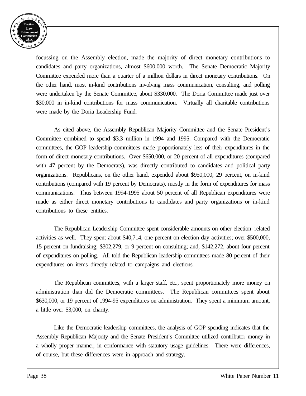

focussing on the Assembly election, made the majority of direct monetary contributions to candidates and party organizations, almost \$600,000 worth. The Senate Democratic Majority Committee expended more than a quarter of a million dollars in direct monetary contributions. On the other hand, most in-kind contributions involving mass communication, consulting, and polling were undertaken by the Senate Committee, about \$330,000. The Doria Committee made just over \$30,000 in in-kind contributions for mass communication. Virtually all charitable contributions were made by the Doria Leadership Fund.

As cited above, the Assembly Republican Majority Committee and the Senate President's Committee combined to spend \$3.3 million in 1994 and 1995. Compared with the Democratic committees, the GOP leadership committees made proportionately less of their expenditures in the form of direct monetary contributions. Over \$650,000, or 20 percent of all expenditures (compared with 47 percent by the Democrats), was directly contributed to candidates and political party organizations. Republicans, on the other hand, expended about \$950,000, 29 percent, on in-kind contributions (compared with 19 percent by Democrats), mostly in the form of expenditures for mass communications. Thus between 1994-1995 about 50 percent of all Republican expenditures were made as either direct monetary contributions to candidates and party organizations or in-kind contributions to these entities.

The Republican Leadership Committee spent considerable amounts on other election-related activities as well. They spent about \$40,714, one percent on election day activities; over \$500,000, 15 percent on fundraising; \$302,279, or 9 percent on consulting; and, \$142,272, about four percent of expenditures on polling. All told the Republican leadership committees made 80 percent of their expenditures on items directly related to campaigns and elections.

The Republican committees, with a larger staff, etc., spent proportionately more money on administration than did the Democratic committees. The Republican committees spent about \$630,000, or 19 percent of 1994-95 expenditures on administration. They spent a minimum amount, a little over \$3,000, on charity.

Like the Democratic leadership committees, the analysis of GOP spending indicates that the Assembly Republican Majority and the Senate President's Committee utilized contributor money in a wholly proper manner, in conformance with statutory usage guidelines. There were differences, of course, but these differences were in approach and strategy.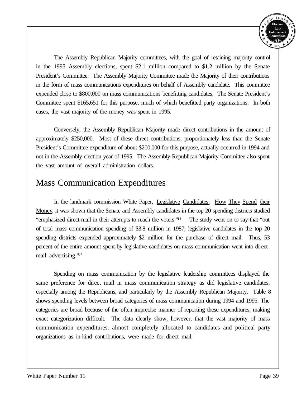

The Assembly Republican Majority committees, with the goal of retaining majority control in the 1995 Assembly elections, spent \$2.1 million compared to \$1.2 million by the Senate President's Committee. The Assembly Majority Committee made the Majority of their contributions in the form of mass communications expenditures on behalf of Assembly candidate. This committee expended close to \$800,000 on mass communications benefitting candidates. The Senate President's Committee spent \$165,651 for this purpose, much of which benefitted party organizations. In both cases, the vast majority of the money was spent in 1995.

Conversely, the Assembly Republican Majority made direct contributions in the amount of approximately \$250,000. Most of these direct contributions, proportionately less than the Senate President's Committee expenditure of about \$200,000 for this purpose, actually occurred in 1994 and not in the Assembly election year of 1995. The Assembly Republican Majority Committee also spent the vast amount of overall administration dollars.

#### Mass Communication Expenditures

In the landmark commission White Paper, Legislative Candidates: How They Spend their Money, it was shown that the Senate and Assembly candidates in the top 20 spending districts studied "emphasized direct-mail in their attempts to reach the voters."<sup>16</sup> The study went on to say that "out of total mass communication spending of \$3.8 million in 1987, legislative candidates in the top 20 spending districts expended approximately \$2 million for the purchase of direct mail. Thus, 53 percent of the entire amount spent by legislative candidates on mass communication went into directmail advertising."<sup>17</sup>

Spending on mass communication by the legislative leadership committees displayed the same preference for direct mail in mass communication strategy as did legislative candidates, especially among the Republicans, and particularly by the Assembly Republican Majority. Table 8 shows spending levels between broad categories of mass communication during 1994 and 1995. The categories are broad because of the often imprecise manner of reporting these expenditures, making exact categorization difficult. The data clearly show, however, that the vast majority of mass communication expenditures, almost completely allocated to candidates and political party organizations as in-kind contributions, were made for direct mail.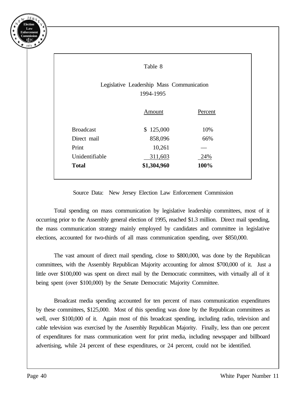

|                                                        | Table 8     |         |  |  |
|--------------------------------------------------------|-------------|---------|--|--|
| Legislative Leadership Mass Communication<br>1994-1995 |             |         |  |  |
|                                                        | Amount      | Percent |  |  |
| <b>Broadcast</b>                                       | \$125,000   | 10%     |  |  |
| Direct mail                                            | 858,096     | 66%     |  |  |
| Print                                                  | 10,261      |         |  |  |
| Unidentifiable                                         | 311,603     | 24%     |  |  |
| <b>Total</b>                                           | \$1,304,960 | 100%    |  |  |

Source Data: New Jersey Election Law Enforcement Commission

Total spending on mass communication by legislative leadership committees, most of it occurring prior to the Assembly general election of 1995, reached \$1.3 million. Direct mail spending, the mass communication strategy mainly employed by candidates and committee in legislative elections, accounted for two-thirds of all mass communication spending, over \$850,000.

The vast amount of direct mail spending, close to \$800,000, was done by the Republican committees, with the Assembly Republican Majority accounting for almost \$700,000 of it. Just a little over \$100,000 was spent on direct mail by the Democratic committees, with virtually all of it being spent (over \$100,000) by the Senate Democratic Majority Committee.

Broadcast media spending accounted for ten percent of mass communication expenditures by these committees, \$125,000. Most of this spending was done by the Republican committees as well, over \$100,000 of it. Again most of this broadcast spending, including radio, television and cable television was exercised by the Assembly Republican Majority. Finally, less than one percent of expenditures for mass communication went for print media, including newspaper and billboard advertising, while 24 percent of these expenditures, or 24 percent, could not be identified.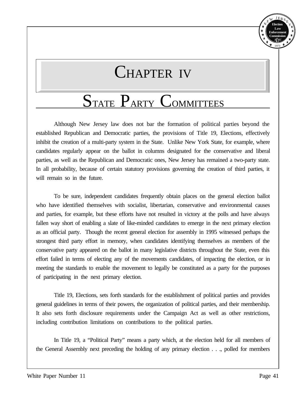

## CHAPTER IV

### STATE PARTY COMMITTEES

Although New Jersey law does not bar the formation of political parties beyond the established Republican and Democratic parties, the provisions of Title 19, Elections, effectively inhibit the creation of a multi-party system in the State. Unlike New York State, for example, where candidates regularly appear on the ballot in columns designated for the conservative and liberal parties, as well as the Republican and Democratic ones, New Jersey has remained a two-party state. In all probability, because of certain statutory provisions governing the creation of third parties, it will remain so in the future.

To be sure, independent candidates frequently obtain places on the general election ballot who have identified themselves with socialist, libertarian, conservative and environmental causes and parties, for example, but these efforts have not resulted in victory at the polls and have always fallen way short of enabling a slate of like-minded candidates to emerge in the next primary election as an official party. Though the recent general election for assembly in 1995 witnessed perhaps the strongest third party effort in memory, when candidates identifying themselves as members of the conservative party appeared on the ballot in many legislative districts throughout the State, even this effort failed in terms of electing any of the movements candidates, of impacting the election, or in meeting the standards to enable the movement to legally be constituted as a party for the purposes of participating in the next primary election.

Title 19, Elections, sets forth standards for the establishment of political parties and provides general guidelines in terms of their powers, the organization of political parties, and their membership. It also sets forth disclosure requirements under the Campaign Act as well as other restrictions, including contribution limitations on contributions to the political parties.

In Title 19, a "Political Party" means a party which, at the election held for all members of the General Assembly next preceding the holding of any primary election . . ., polled for members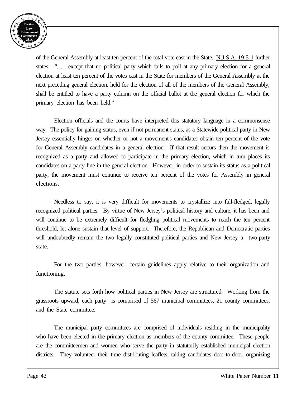

of the General Assembly at least ten percent of the total vote cast in the State. N.J.S.A. 19:5-1 further states: ". . . except that no political party which fails to poll at any primary election for a general election at least ten percent of the votes cast in the State for members of the General Assembly at the next preceding general election, held for the election of all of the members of the General Assembly, shall be entitled to have a party column on the official ballot at the general election for which the primary election has been held."

Election officials and the courts have interpreted this statutory language in a commonsense way. The policy for gaining status, even if not permanent status, as a Statewide political party in New Jersey essentially hinges on whether or not a movement's candidates obtain ten percent of the vote for General Assembly candidates in a general election. If that result occurs then the movement is recognized as a party and allowed to participate in the primary election, which in turn places its candidates on a party line in the general election. However, in order to sustain its status as a political party, the movement must continue to receive ten percent of the votes for Assembly in general elections.

Needless to say, it is very difficult for movements to crystallize into full-fledged, legally recognized political parties. By virtue of New Jersey's political history and culture, it has been and will continue to be extremely difficult for fledgling political movements to reach the ten percent threshold, let alone sustain that level of support. Therefore, the Republican and Democratic parties will undoubtedly remain the two legally constituted political parties and New Jersey a two-party state.

For the two parties, however, certain guidelines apply relative to their organization and functioning.

The statute sets forth how political parties in New Jersey are structured. Working from the grassroots upward, each party is comprised of 567 municipal committees, 21 county committees, and the State committee.

The municipal party committees are comprised of individuals residing in the municipality who have been elected in the primary election as members of the county committee. These people are the committeemen and women who serve the party in statutorily established municipal election districts. They volunteer their time distributing leaflets, taking candidates door-to-door, organizing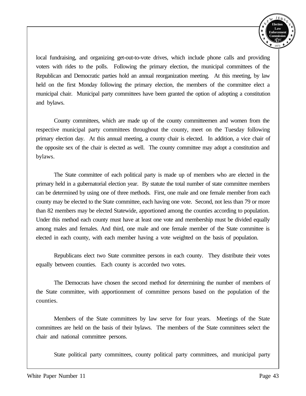

local fundraising, and organizing get-out-to-vote drives, which include phone calls and providing voters with rides to the polls. Following the primary election, the municipal committees of the Republican and Democratic parties hold an annual reorganization meeting. At this meeting, by law held on the first Monday following the primary election, the members of the committee elect a municipal chair. Municipal party committees have been granted the option of adopting a constitution and bylaws.

County committees, which are made up of the county committeemen and women from the respective municipal party committees throughout the county, meet on the Tuesday following primary election day. At this annual meeting, a county chair is elected. In addition, a vice chair of the opposite sex of the chair is elected as well. The county committee may adopt a constitution and bylaws.

The State committee of each political party is made up of members who are elected in the primary held in a gubernatorial election year. By statute the total number of state committee members can be determined by using one of three methods. First, one male and one female member from each county may be elected to the State committee, each having one vote. Second, not less than 79 or more than 82 members may be elected Statewide, apportioned among the counties according to population. Under this method each county must have at least one vote and membership must be divided equally among males and females. And third, one male and one female member of the State committee is elected in each county, with each member having a vote weighted on the basis of population.

Republicans elect two State committee persons in each county. They distribute their votes equally between counties. Each county is accorded two votes.

The Democrats have chosen the second method for determining the number of members of the State committee, with apportionment of committee persons based on the population of the counties.

Members of the State committees by law serve for four years. Meetings of the State committees are held on the basis of their bylaws. The members of the State committees select the chair and national committee persons.

State political party committees, county political party committees, and municipal party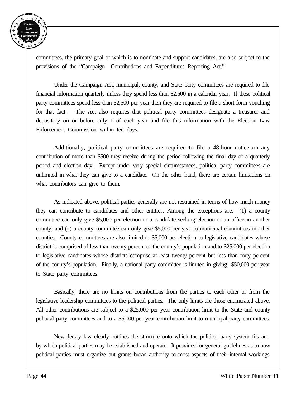

committees, the primary goal of which is to nominate and support candidates, are also subject to the provisions of the "Campaign Contributions and Expenditures Reporting Act."

Under the Campaign Act, municipal, county, and State party committees are required to file financial information quarterly unless they spend less than \$2,500 in a calendar year. If these political party committees spend less than \$2,500 per year then they are required to file a short form vouching for that fact. The Act also requires that political party committees designate a treasurer and depository on or before July 1 of each year and file this information with the Election Law Enforcement Commission within ten days.

Additionally, political party committees are required to file a 48-hour notice on any contribution of more than \$500 they receive during the period following the final day of a quarterly period and election day. Except under very special circumstances, political party committees are unlimited in what they can give to a candidate. On the other hand, there are certain limitations on what contributors can give to them.

As indicated above, political parties generally are not restrained in terms of how much money they can contribute to candidates and other entities. Among the exceptions are: (1) a county committee can only give \$5,000 per election to a candidate seeking election to an office in another county; and (2) a county committee can only give \$5,000 per year to municipal committees in other counties. County committees are also limited to \$5,000 per election to legislative candidates whose district is comprised of less than twenty percent of the county's population and to \$25,000 per election to legislative candidates whose districts comprise at least twenty percent but less than forty percent of the county's population. Finally, a national party committee is limited in giving \$50,000 per year to State party committees.

Basically, there are no limits on contributions from the parties to each other or from the legislative leadership committees to the political parties. The only limits are those enumerated above. All other contributions are subject to a \$25,000 per year contribution limit to the State and county political party committees and to a \$5,000 per year contribution limit to municipal party committees.

New Jersey law clearly outlines the structure unto which the political party system fits and by which political parties may be established and operate. It provides for general guidelines as to how political parties must organize but grants broad authority to most aspects of their internal workings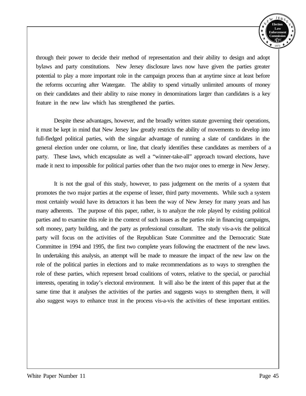

through their power to decide their method of representation and their ability to design and adopt bylaws and party constitutions. New Jersey disclosure laws now have given the parties greater potential to play a more important role in the campaign process than at anytime since at least before the reforms occurring after Watergate. The ability to spend virtually unlimited amounts of money on their candidates and their ability to raise money in denominations larger than candidates is a key feature in the new law which has strengthened the parties.

Despite these advantages, however, and the broadly written statute governing their operations, it must be kept in mind that New Jersey law greatly restricts the ability of movements to develop into full-fledged political parties, with the singular advantage of running a slate of candidates in the general election under one column, or line, that clearly identifies these candidates as members of a party. These laws, which encapsulate as well a "winner-take-all" approach toward elections, have made it next to impossible for political parties other than the two major ones to emerge in New Jersey.

It is not the goal of this study, however, to pass judgement on the merits of a system that promotes the two major parties at the expense of lesser, third party movements. While such a system most certainly would have its detractors it has been the way of New Jersey for many years and has many adherents. The purpose of this paper, rather, is to analyze the role played by existing political parties and to examine this role in the context of such issues as the parties role in financing campaigns, soft money, party building, and the party as professional consultant. The study vis-a-vis the political party will focus on the activities of the Republican State Committee and the Democratic State Committee in 1994 and 1995, the first two complete years following the enactment of the new laws. In undertaking this analysis, an attempt will be made to measure the impact of the new law on the role of the political parties in elections and to make recommendations as to ways to strengthen the role of these parties, which represent broad coalitions of voters, relative to the special, or parochial interests, operating in today's electoral environment. It will also be the intent of this paper that at the same time that it analyses the activities of the parties and suggests ways to strengthen them, it will also suggest ways to enhance trust in the process vis-a-vis the activities of these important entities.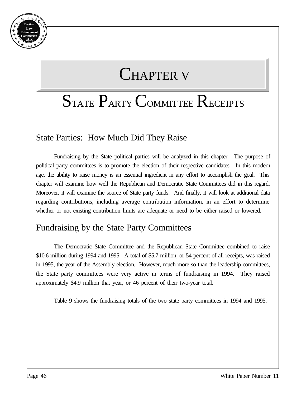

# CHAPTER V

# STATE PARTY COMMITTEE RECEIPTS

### State Parties: How Much Did They Raise

Fundraising by the State political parties will be analyzed in this chapter. The purpose of political party committees is to promote the election of their respective candidates. In this modern age, the ability to raise money is an essential ingredient in any effort to accomplish the goal. This chapter will examine how well the Republican and Democratic State Committees did in this regard. Moreover, it will examine the source of State party funds. And finally, it will look at additional data regarding contributions, including average contribution information, in an effort to determine whether or not existing contribution limits are adequate or need to be either raised or lowered.

#### Fundraising by the State Party Committees

The Democratic State Committee and the Republican State Committee combined to raise \$10.6 million during 1994 and 1995. A total of \$5.7 million, or 54 percent of all receipts, was raised in 1995, the year of the Assembly election. However, much more so than the leadership committees, the State party committees were very active in terms of fundraising in 1994. They raised approximately \$4.9 million that year, or 46 percent of their two-year total.

Table 9 shows the fundraising totals of the two state party committees in 1994 and 1995.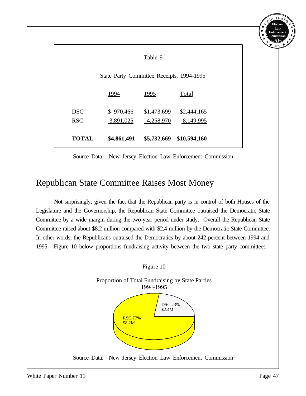|              |                                           |             |              | Enforcement<br>Commission |
|--------------|-------------------------------------------|-------------|--------------|---------------------------|
|              |                                           | Table 9     |              |                           |
|              | State Party Committee Receipts, 1994-1995 |             |              |                           |
|              | 1994                                      | 1995        | Total        |                           |
| <b>DSC</b>   | \$970,466                                 | \$1,473,699 | \$2,444,165  |                           |
| <b>RSC</b>   | 3,891,025                                 | 4,258,970   | 8,149,995    |                           |
| <b>TOTAL</b> | \$4,861,491                               | \$5,732,669 | \$10,594,160 |                           |

Source Data: New Jersey Election Law Enforcement Commission

#### Republican State Committee Raises Most Money

Not surprisingly, given the fact that the Republican party is in control of both Houses of the Legislature and the Governorship, the Republican State Committee outraised the Democratic State Committee by a wide margin during the two-year period under study. Overall the Republican State Committee raised about \$8.2 million compared with \$2.4 million by the Democratic State Committee. In other words, the Republicans outraised the Democratics by about 242 percent between 1994 and 1995. Figure 10 below proportions fundraising activity between the two state party committees.



**Election Law**

Y E

 $J E<sub>D</sub>$ 

N E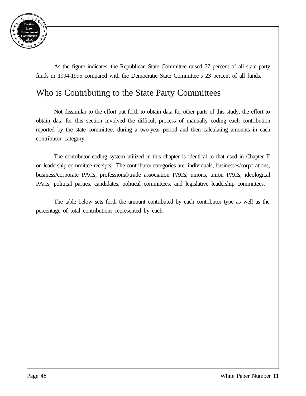

As the figure indicates, the Republican State Committee raised 77 percent of all state party funds in 1994-1995 compared with the Democratic State Committee's 23 percent of all funds.

#### Who is Contributing to the State Party Committees

Not dissimilar to the effort put forth to obtain data for other parts of this study, the effort to obtain data for this section involved the difficult process of manually coding each contribution reported by the state committees during a two-year period and then calculating amounts in each contributor category.

The contributor coding system utilized in this chapter is identical to that used in Chapter II on leadership committee receipts. The contributor categories are: individuals, businesses/corporations, business/corporate PACs, professional/trade association PACs, unions, union PACs, ideological PACs, political parties, candidates, political committees, and legislative leadership committees.

The table below sets forth the amount contributed by each contributor type as well as the percentage of total contributions represented by each.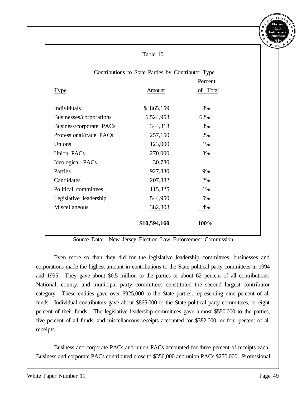|                                                    | Table 10     |          |  |  |
|----------------------------------------------------|--------------|----------|--|--|
| Contributions to State Parties by Contributor Type |              |          |  |  |
|                                                    |              | Percent  |  |  |
| <b>Type</b>                                        | Amount       | of Total |  |  |
| Individuals                                        | \$865,159    | 8%       |  |  |
| Businesses/corporations                            | 6,524,958    | 62%      |  |  |
| Business/corporate PACs                            | 344,318      | 3%       |  |  |
| Professional/trade PACs                            | 257,150      | 2%       |  |  |
| Unions                                             | 123,000      | 1%       |  |  |
| <b>Union PACs</b>                                  | 270,000      | 3%       |  |  |
| Ideological PACs                                   | 30,780       |          |  |  |
| Parties                                            | 927,830      | 9%       |  |  |
| Candidates                                         | 207,882      | 2%       |  |  |
| Political committees                               | 115,325      | 1%       |  |  |
| Legislative leadership                             | 544,950      | 5%       |  |  |
| Miscellaneous                                      | 382,808      | 4%       |  |  |
|                                                    | \$10,594,160 | 100%     |  |  |

Source Data: New Jersey Election Law Enforcement Commission

Even more so than they did for the legislative leadership committees, businesses and corporations made the highest amount in contributions to the State political party committees in 1994 and 1995. They gave about \$6.5 million to the parties or about 62 percent of all contributions. National, county, and municipal party committees constituted the second largest contributor category. These entities gave over \$925,000 to the State parties, representing nine percent of all funds. Individual contributors gave about \$865,000 to the State political party committees, or eight percent of their funds. The legislative leadership committees gave almost \$550,000 to the parties, five percent of all funds, and miscellaneous receipts accounted for \$382,000, or four percent of all receipts.

Business and corporate PACs and union PACs accounted for three percent of receipts each. Business and corporate PACs contributed close to \$350,000 and union PACs \$270,000. Professional

**Election Law Enforcement Commission** *E EC L* 1973

Y E

N E W JERS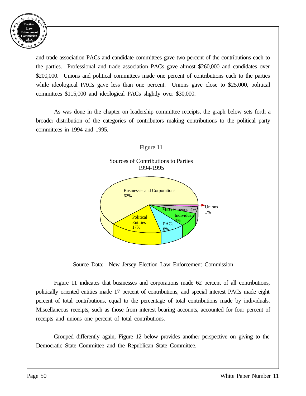

and trade association PACs and candidate committees gave two percent of the contributions each to the parties. Professional and trade association PACs gave almost \$260,000 and candidates over \$200,000. Unions and political committees made one percent of contributions each to the parties while ideological PACs gave less than one percent. Unions gave close to \$25,000, political committees \$115,000 and ideological PACs slightly over \$30,000.

As was done in the chapter on leadership committee receipts, the graph below sets forth a broader distribution of the categories of contributors making contributions to the political party committees in 1994 and 1995.



Source Data: New Jersey Election Law Enforcement Commission

Figure 11 indicates that businesses and corporations made 62 percent of all contributions, politically oriented entities made 17 percent of contributions, and special interest PACs made eight percent of total contributions, equal to the percentage of total contributions made by individuals. Miscellaneous receipts, such as those from interest bearing accounts, accounted for four percent of receipts and unions one percent of total contributions.

Grouped differently again, Figure 12 below provides another perspective on giving to the Democratic State Committee and the Republican State Committee.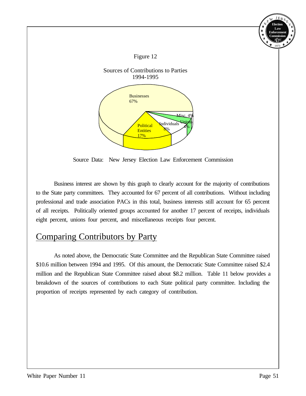

Source Data: New Jersey Election Law Enforcement Commission

Business interest are shown by this graph to clearly account for the majority of contributions to the State party committees. They accounted for 67 percent of all contributions. Without including professional and trade association PACs in this total, business interests still account for 65 percent of all receipts. Politically oriented groups accounted for another 17 percent of receipts, individuals eight percent, unions four percent, and miscellaneous receipts four percent.

#### Comparing Contributors by Party

As noted above, the Democratic State Committee and the Republican State Committee raised \$10.6 million between 1994 and 1995. Of this amount, the Democratic State Committee raised \$2.4 million and the Republican State Committee raised about \$8.2 million. Table 11 below provides a breakdown of the sources of contributions to each State political party committee. Including the proportion of receipts represented by each category of contribution.

**Election Law Enforcement Commission** *E EC L* 1973

 $E_R$ 

Y E

N E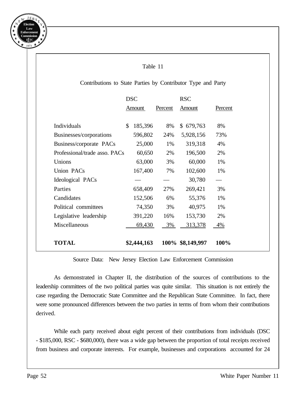

### Table 11 Contributions to State Parties by Contributor Type and Party DSC RSC Amount Percent Amount Percent Individuals \$ 185,396 8% \$ 679,763 8% Businesses/corporations 596,802 24% 5,928,156 73% Business/corporate PACs 25,000 1% 319,318 4% Professional/trade asso. PACs 60,650 2% 196,500 2% Unions 63,000 3% 60,000 1% Union PACs  $167,400$  7%  $102,600$  1% Ideological PACs — — 30,780 Parties 658,409 27% 269,421 3% Candidates 152,506 6% 55,376 1% Political committees 74,350 3% 40,975 1% Legislative leadership 391,220 16% 153,730 2% Miscellaneous 69,430 3% 313,378 4% **TOTAL \$2,444,163 100% \$8,149,997 100%**

#### Source Data: New Jersey Election Law Enforcement Commission

As demonstrated in Chapter II, the distribution of the sources of contributions to the leadership committees of the two political parties was quite similar. This situation is not entirely the case regarding the Democratic State Committee and the Republican State Committee. In fact, there were some pronounced differences between the two parties in terms of from whom their contributions derived.

While each party received about eight percent of their contributions from individuals (DSC - \$185,000, RSC - \$680,000), there was a wide gap between the proportion of total receipts received from business and corporate interests. For example, businesses and corporations accounted for 24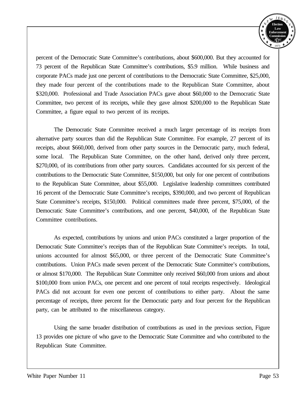

percent of the Democratic State Committee's contributions, about \$600,000. But they accounted for 73 percent of the Republican State Committee's contributions, \$5.9 million. While business and corporate PACs made just one percent of contributions to the Democratic State Committee, \$25,000, they made four percent of the contributions made to the Republican State Committee, about \$320,000. Professional and Trade Association PACs gave about \$60,000 to the Democratic State Committee, two percent of its receipts, while they gave almost \$200,000 to the Republican State Committee, a figure equal to two percent of its receipts.

The Democratic State Committee received a much larger percentage of its receipts from alternative party sources than did the Republican State Committee. For example, 27 percent of its receipts, about \$660,000, derived from other party sources in the Democratic party, much federal, some local. The Republican State Committee, on the other hand, derived only three percent, \$270,000, of its contributions from other party sources. Candidates accounted for six percent of the contributions to the Democratic State Committee, \$150,000, but only for one percent of contributions to the Republican State Committee, about \$55,000. Legislative leadership committees contributed 16 percent of the Democratic State Committee's receipts, \$390,000, and two percent of Republican State Committee's receipts, \$150,000. Political committees made three percent, \$75,000, of the Democratic State Committee's contributions, and one percent, \$40,000, of the Republican State Committee contributions.

As expected, contributions by unions and union PACs constituted a larger proportion of the Democratic State Committee's receipts than of the Republican State Committee's receipts. In total, unions accounted for almost \$65,000, or three percent of the Democratic State Committee's contributions. Union PACs made seven percent of the Democratic State Committee's contributions, or almost \$170,000. The Republican State Committee only received \$60,000 from unions and about \$100,000 from union PACs, one percent and one percent of total receipts respectively. Ideological PACs did not account for even one percent of contributions to either party. About the same percentage of receipts, three percent for the Democratic party and four percent for the Republican party, can be attributed to the miscellaneous category.

Using the same broader distribution of contributions as used in the previous section, Figure 13 provides one picture of who gave to the Democratic State Committee and who contributed to the Republican State Committee.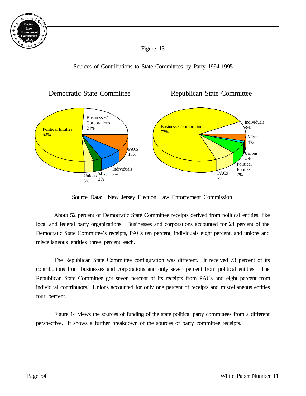

Figure 13

Sources of Contributions to State Committees by Party 1994-1995



Source Data: New Jersey Election Law Enforcement Commission

About 52 percent of Democratic State Committee receipts derived from political entities, like local and federal party organizations. Businesses and corporations accounted for 24 percent of the Democratic State Committee's receipts, PACs ten percent, individuals eight percent, and unions and miscellaneous entities three percent each.

The Republican State Committee configuration was different. It received 73 percent of its contributions from businesses and corporations and only seven percent from political entities. The Republican State Committee got seven percent of its receipts from PACs and eight percent from individual contributors. Unions accounted for only one percent of receipts and miscellaneous entities four percent.

Figure 14 views the sources of funding of the state political party committees from a different perspective. It shows a further breakdown of the sources of party committee receipts.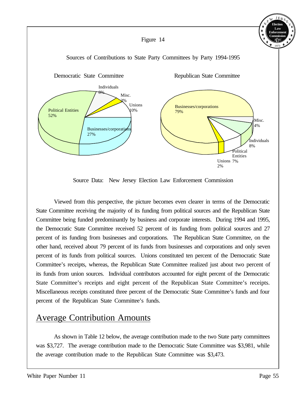

Source Data: New Jersey Election Law Enforcement Commission

Viewed from this perspective, the picture becomes even clearer in terms of the Democratic State Committee receiving the majority of its funding from political sources and the Republican State Committee being funded predominantly by business and corporate interests. During 1994 and 1995, the Democratic State Committee received 52 percent of its funding from political sources and 27 percent of its funding from businesses and corporations. The Republican State Committee, on the other hand, received about 79 percent of its funds from businesses and corporations and only seven percent of its funds from political sources. Unions constituted ten percent of the Democratic State Committee's receipts, whereas, the Republican State Committee realized just about two percent of its funds from union sources. Individual contributors accounted for eight percent of the Democratic State Committee's receipts and eight percent of the Republican State Committee's receipts. Miscellaneous receipts constituted three percent of the Democratic State Committee's funds and four percent of the Republican State Committee's funds.

#### Average Contribution Amounts

As shown in Table 12 below, the average contribution made to the two State party committees was \$3,727. The average contribution made to the Democratic State Committee was \$3,981, while the average contribution made to the Republican State Committee was \$3,473.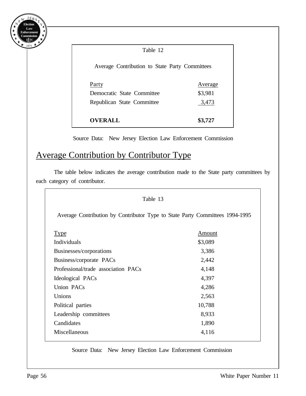

| Average Contribution to State Party Committees |
|------------------------------------------------|
| Average                                        |
| \$3,981                                        |
| 3,473                                          |
|                                                |
| \$3,727                                        |
|                                                |

Source Data: New Jersey Election Law Enforcement Commission

#### Average Contribution by Contributor Type

The table below indicates the average contribution made to the State party committees by each category of contributor.

| Table 13                                                                     |         |  |  |  |  |  |
|------------------------------------------------------------------------------|---------|--|--|--|--|--|
| Average Contribution by Contributor Type to State Party Committees 1994-1995 |         |  |  |  |  |  |
| Type                                                                         | Amount  |  |  |  |  |  |
| Individuals                                                                  | \$3,089 |  |  |  |  |  |
| Businesses/corporations                                                      | 3,386   |  |  |  |  |  |
| Business/corporate PACs                                                      | 2,442   |  |  |  |  |  |
| Professional/trade association PACs                                          | 4,148   |  |  |  |  |  |
| Ideological PACs                                                             | 4,397   |  |  |  |  |  |
| Union PACs                                                                   | 4,286   |  |  |  |  |  |
| Unions                                                                       | 2,563   |  |  |  |  |  |
| Political parties                                                            | 10,788  |  |  |  |  |  |
| Leadership committees                                                        | 8,933   |  |  |  |  |  |
| Candidates                                                                   | 1,890   |  |  |  |  |  |
| Miscellaneous                                                                | 4,116   |  |  |  |  |  |

Source Data: New Jersey Election Law Enforcement Commission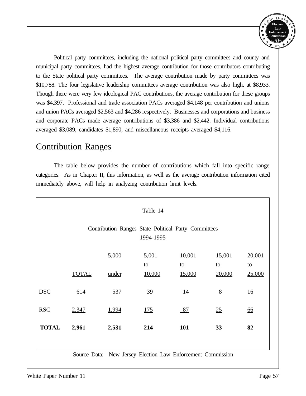

Political party committees, including the national political party committees and county and municipal party committees, had the highest average contribution for those contributors contributing to the State political party committees. The average contribution made by party committees was \$10,788. The four legislative leadership committees average contribution was also high, at \$8,933. Though there were very few ideological PAC contributions, the average contribution for these groups was \$4,397. Professional and trade association PACs averaged \$4,148 per contribution and unions and union PACs averaged \$2,563 and \$4,286 respectively. Businesses and corporations and business and corporate PACs made average contributions of \$3,386 and \$2,442. Individual contributions averaged \$3,089, candidates \$1,890, and miscellaneous receipts averaged \$4,116.

#### Contribution Ranges

The table below provides the number of contributions which fall into specific range categories. As in Chapter II, this information, as well as the average contribution information cited immediately above, will help in analyzing contribution limit levels.

| Table 14     |                                                                   |       |                                                |              |              |              |  |
|--------------|-------------------------------------------------------------------|-------|------------------------------------------------|--------------|--------------|--------------|--|
|              | Contribution Ranges State Political Party Committees<br>1994-1995 |       |                                                |              |              |              |  |
|              |                                                                   | 5,000 | 5,001                                          | 10,001       | 15,001       | 20,001       |  |
|              | <b>TOTAL</b>                                                      | under | to<br>10,000                                   | to<br>15,000 | to<br>20,000 | to<br>25,000 |  |
| <b>DSC</b>   | 614                                                               | 537   | 39                                             | 14           | 8            | 16           |  |
| <b>RSC</b>   | 2,347                                                             | 1,994 | 175                                            | 87           | 25           | <u>66</u>    |  |
| <b>TOTAL</b> | 2,961                                                             | 2,531 | 214                                            | 101          | 33           | 82           |  |
|              |                                                                   |       |                                                |              |              |              |  |
|              | Source Data:                                                      |       | New Jersey Election Law Enforcement Commission |              |              |              |  |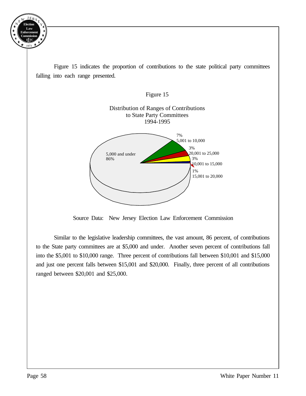

Figure 15 indicates the proportion of contributions to the state political party committees falling into each range presented.



Source Data: New Jersey Election Law Enforcement Commission

Similar to the legislative leadership committees, the vast amount, 86 percent, of contributions to the State party committees are at \$5,000 and under. Another seven percent of contributions fall into the \$5,001 to \$10,000 range. Three percent of contributions fall between \$10,001 and \$15,000 and just one percent falls between \$15,001 and \$20,000. Finally, three percent of all contributions ranged between \$20,001 and \$25,000.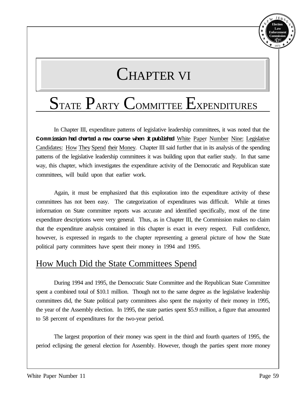

# CHAPTER VI

## STATE PARTY COMMITTEE EXPENDITURES

In Chapter III, expenditure patterns of legislative leadership committees, it was noted that the **Commission had charted a new course when it published** White Paper Number Nine: Legislative Candidates: How They Spend their Money. Chapter III said further that in its analysis of the spending patterns of the legislative leadership committees it was building upon that earlier study. In that same way, this chapter, which investigates the expenditure activity of the Democratic and Republican state committees, will build upon that earlier work.

Again, it must be emphasized that this exploration into the expenditure activity of these committees has not been easy. The categorization of expenditures was difficult. While at times information on State committee reports was accurate and identified specifically, most of the time expenditure descriptions were very general. Thus, as in Chapter III, the Commission makes no claim that the expenditure analysis contained in this chapter is exact in every respect. Full confidence, however, is expressed in regards to the chapter representing a general picture of how the State political party committees have spent their money in 1994 and 1995.

#### How Much Did the State Committees Spend

During 1994 and 1995, the Democratic State Committee and the Republican State Committee spent a combined total of \$10.1 million. Though not to the same degree as the legislative leadership committees did, the State political party committees also spent the majority of their money in 1995, the year of the Assembly election. In 1995, the state parties spent \$5.9 million, a figure that amounted to 58 percent of expenditures for the two-year period.

The largest proportion of their money was spent in the third and fourth quarters of 1995, the period eclipsing the general election for Assembly. However, though the parties spent more money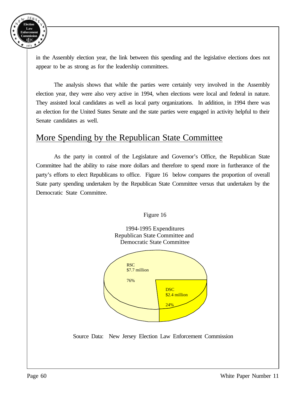

in the Assembly election year, the link between this spending and the legislative elections does not appear to be as strong as for the leadership committees.

The analysis shows that while the parties were certainly very involved in the Assembly election year, they were also very active in 1994, when elections were local and federal in nature. They assisted local candidates as well as local party organizations. In addition, in 1994 there was an election for the United States Senate and the state parties were engaged in activity helpful to their Senate candidates as well.

#### More Spending by the Republican State Committee

As the party in control of the Legislature and Governor's Office, the Republican State Committee had the ability to raise more dollars and therefore to spend more in furtherance of the party's efforts to elect Republicans to office. Figure 16 below compares the proportion of overall State party spending undertaken by the Republican State Committee versus that undertaken by the Democratic State Committee.



Figure 16

Source Data: New Jersey Election Law Enforcement Commission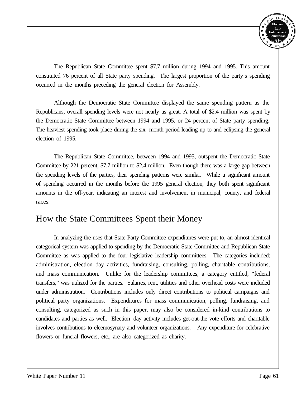

The Republican State Committee spent \$7.7 million during 1994 and 1995. This amount constituted 76 percent of all State party spending. The largest proportion of the party's spending occurred in the months preceding the general election for Assembly.

Although the Democratic State Committee displayed the same spending pattern as the Republicans, overall spending levels were not nearly as great. A total of \$2.4 million was spent by the Democratic State Committee between 1994 and 1995, or 24 percent of State party spending. The heaviest spending took place during the six--month period leading up to and eclipsing the general election of 1995.

The Republican State Committee, between 1994 and 1995, outspent the Democratic State Committee by 221 percent, \$7.7 million to \$2.4 million. Even though there was a large gap between the spending levels of the parties, their spending patterns were similar. While a significant amount of spending occurred in the months before the 1995 general election, they both spent significant amounts in the off-year, indicating an interest and involvement in municipal, county, and federal races.

#### How the State Committees Spent their Money

In analyzing the uses that State Party Committee expenditures were put to, an almost identical categorical system was applied to spending by the Democratic State Committee and Republican State Committee as was applied to the four legislative leadership committees. The categories included: administration, election-day activities, fundraising, consulting, polling, charitable contributions, and mass communication. Unlike for the leadership committees, a category entitled, "federal transfers," was utilized for the parties. Salaries, rent, utilities and other overhead costs were included under administration. Contributions includes only direct contributions to political campaigns and political party organizations. Expenditures for mass communication, polling, fundraising, and consulting, categorized as such in this paper, may also be considered in-kind contributions to candidates and parties as well. Election-day activity includes get-out-the vote efforts and charitable involves contributions to eleemosynary and volunteer organizations. Any expenditure for celebrative flowers or funeral flowers, etc., are also categorized as charity.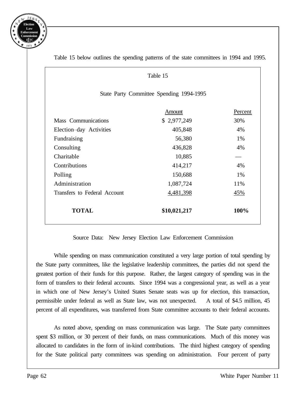

| Table 15                                 |                      |     |  |  |  |  |
|------------------------------------------|----------------------|-----|--|--|--|--|
| State Party Committee Spending 1994-1995 |                      |     |  |  |  |  |
| Percent<br>Amount                        |                      |     |  |  |  |  |
| <b>Mass</b> Communications               | \$2,977,249          | 30% |  |  |  |  |
| Election-day Activities                  | 405,848              | 4%  |  |  |  |  |
| Fundraising                              | 56,380               | 1%  |  |  |  |  |
| Consulting                               | 436,828              | 4%  |  |  |  |  |
| Charitable                               | 10,885               |     |  |  |  |  |
| Contributions                            | 414,217              | 4%  |  |  |  |  |
| Polling                                  | 150,688              | 1%  |  |  |  |  |
| Administration                           | 1,087,724            | 11% |  |  |  |  |
| Transfers to Federal Account             | 4,481,398            | 45% |  |  |  |  |
| <b>TOTAL</b>                             | \$10,021,217<br>100% |     |  |  |  |  |

Table 15 below outlines the spending patterns of the state committees in 1994 and 1995.

#### Source Data: New Jersey Election Law Enforcement Commission

While spending on mass communication constituted a very large portion of total spending by the State party committees, like the legislative leadership committees, the parties did not spend the greatest portion of their funds for this purpose. Rather, the largest category of spending was in the form of transfers to their federal accounts. Since 1994 was a congressional year, as well as a year in which one of New Jersey's United States Senate seats was up for election, this transaction, permissible under federal as well as State law, was not unexpected. A total of \$4.5 million, 45 percent of all expenditures, was transferred from State committee accounts to their federal accounts.

As noted above, spending on mass communication was large. The State party committees spent \$3 million, or 30 percent of their funds, on mass communications. Much of this money was allocated to candidates in the form of in-kind contributions. The third highest category of spending for the State political party committees was spending on administration. Four percent of party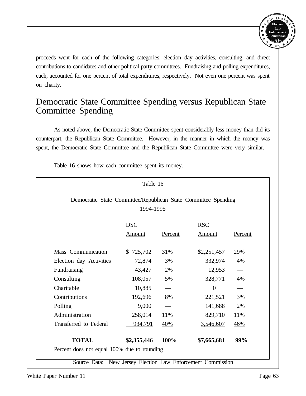

proceeds went for each of the following categories: election-day activities, consulting, and direct contributions to candidates and other political party committees. Fundraising and polling expenditures, each, accounted for one percent of total expenditures, respectively. Not even one percent was spent on charity.

#### Democratic State Committee Spending versus Republican State Committee Spending

As noted above, the Democratic State Committee spent considerably less money than did its counterpart, the Republican State Committee. However, in the manner in which the money was spent, the Democratic State Committee and the Republican State Committee were very similar.

Table 16 shows how each committee spent its money.

| Democratic State Committee/Republican State Committee Spending<br>1994-1995 |             |         |                |         |  |
|-----------------------------------------------------------------------------|-------------|---------|----------------|---------|--|
| <b>DSC</b><br><b>RSC</b>                                                    |             |         |                |         |  |
|                                                                             | Amount      | Percent | Amount         | Percent |  |
| Mass Communication                                                          | \$725,702   | 31%     | \$2,251,457    | 29%     |  |
| Election-day Activities                                                     | 72,874      | 3%      | 332,974        | 4%      |  |
| Fundraising                                                                 | 43,427      | 2%      | 12,953         |         |  |
| Consulting                                                                  | 108,057     | 5%      | 328,771        | 4%      |  |
| Charitable                                                                  | 10,885      |         | $\overline{0}$ |         |  |
| Contributions                                                               | 192,696     | 8%      | 221,521        | 3%      |  |
| Polling                                                                     | 9,000       |         | 141,688        | 2%      |  |
| Administration                                                              | 258,014     | 11%     | 829,710        | 11%     |  |
| Transferred to Federal                                                      | 934,791     | 40%     | 3,546,607      | 46%     |  |
| <b>TOTAL</b>                                                                | \$2,355,446 | 100%    | \$7,665,681    | 99%     |  |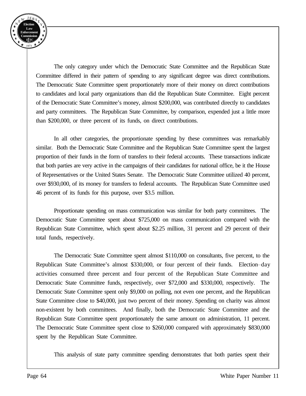

The only category under which the Democratic State Committee and the Republican State Committee differed in their pattern of spending to any significant degree was direct contributions. The Democratic State Committee spent proportionately more of their money on direct contributions to candidates and local party organizations than did the Republican State Committee. Eight percent of the Democratic State Committee's money, almost \$200,000, was contributed directly to candidates and party committees. The Republican State Committee, by comparison, expended just a little more than \$200,000, or three percent of its funds, on direct contributions.

In all other categories, the proportionate spending by these committees was remarkably similar. Both the Democratic State Committee and the Republican State Committee spent the largest proportion of their funds in the form of transfers to their federal accounts. These transactions indicate that both parties are very active in the campaigns of their candidates for national office, be it the House of Representatives or the United States Senate. The Democratic State Committee utilized 40 percent, over \$930,000, of its money for transfers to federal accounts. The Republican State Committee used 46 percent of its funds for this purpose, over \$3.5 million.

Proportionate spending on mass communication was similar for both party committees. The Democratic State Committee spent about \$725,000 on mass communication compared with the Republican State Committee, which spent about \$2.25 million, 31 percent and 29 percent of their total funds, respectively.

The Democratic State Committee spent almost \$110,000 on consultants, five percent, to the Republican State Committee's almost \$330,000, or four percent of their funds. Election-day activities consumed three percent and four percent of the Republican State Committee and Democratic State Committee funds, respectively, over \$72,000 and \$330,000, respectively. The Democratic State Committee spent only \$9,000 on polling, not even one percent, and the Republican State Committee close to \$40,000, just two percent of their money. Spending on charity was almost non-existent by both committees. And finally, both the Democratic State Committee and the Republican State Committee spent proportionately the same amount on administration, 11 percent. The Democratic State Committee spent close to \$260,000 compared with approximately \$830,000 spent by the Republican State Committee.

This analysis of state party committee spending demonstrates that both parties spent their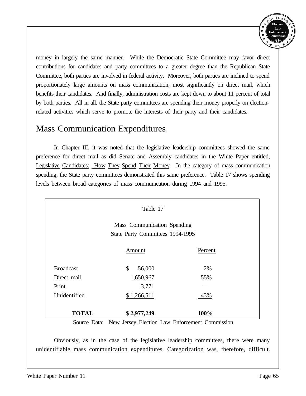

money in largely the same manner. While the Democratic State Committee may favor direct contributions for candidates and party committees to a greater degree than the Republican State Committee, both parties are involved in federal activity. Moreover, both parties are inclined to spend proportionately large amounts on mass communication, most significantly on direct mail, which benefits their candidates. And finally, administration costs are kept down to about 11 percent of total by both parties. All in all, the State party committees are spending their money properly on electionrelated activities which serve to promote the interests of their party and their candidates.

#### Mass Communication Expenditures

In Chapter III, it was noted that the legislative leadership committees showed the same preference for direct mail as did Senate and Assembly candidates in the White Paper entitled, Legislative Candidates: How They Spend Their Money. In the category of mass communication spending, the State party committees demonstrated this same preference. Table 17 shows spending levels between broad categories of mass communication during 1994 and 1995.

| Table 17         |                                                                 |         |  |  |  |  |
|------------------|-----------------------------------------------------------------|---------|--|--|--|--|
|                  | Mass Communication Spending<br>State Party Committees 1994-1995 |         |  |  |  |  |
|                  | Amount                                                          | Percent |  |  |  |  |
| <b>Broadcast</b> | \$<br>56,000                                                    | 2%      |  |  |  |  |
| Direct mail      | 1,650,967                                                       | 55%     |  |  |  |  |
| Print            | 3,771                                                           |         |  |  |  |  |
| Unidentified     | \$1,266,511                                                     | 43%     |  |  |  |  |
| <b>TOTAL</b>     | \$2,977,249                                                     | 100%    |  |  |  |  |

Source Data: New Jersey Election Law Enforcement Commission

Obviously, as in the case of the legislative leadership committees, there were many unidentifiable mass communication expenditures. Categorization was, therefore, difficult.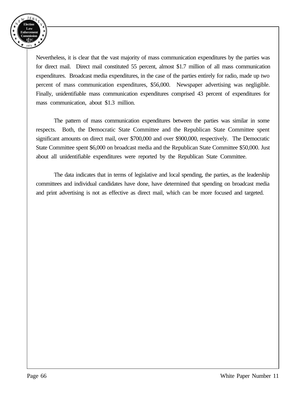

Nevertheless, it is clear that the vast majority of mass communication expenditures by the parties was for direct mail. Direct mail constituted 55 percent, almost \$1.7 million of all mass communication expenditures. Broadcast media expenditures, in the case of the parties entirely for radio, made up two percent of mass communication expenditures, \$56,000. Newspaper advertising was negligible. Finally, unidentifiable mass communication expenditures comprised 43 percent of expenditures for mass communication, about \$1.3 million.

The pattern of mass communication expenditures between the parties was similar in some respects. Both, the Democratic State Committee and the Republican State Committee spent significant amounts on direct mail, over \$700,000 and over \$900,000, respectively. The Democratic State Committee spent \$6,000 on broadcast media and the Republican State Committee \$50,000. Just about all unidentifiable expenditures were reported by the Republican State Committee.

The data indicates that in terms of legislative and local spending, the parties, as the leadership committees and individual candidates have done, have determined that spending on broadcast media and print advertising is not as effective as direct mail, which can be more focused and targeted.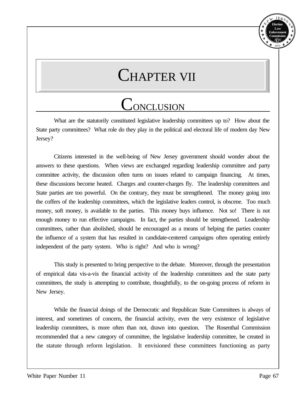

## CHAPTER VII

### **CONCLUSION**

What are the statutorily constituted legislative leadership committees up to? How about the State party committees? What role do they play in the political and electoral life of modern day New Jersey?

Citizens interested in the well-being of New Jersey government should wonder about the answers to these questions. When views are exchanged regarding leadership committee and party committee activity, the discussion often turns on issues related to campaign financing. At times, these discussions become heated. Charges and counter-charges fly. The leadership committees and State parties are too powerful. On the contrary, they must be strengthened. The money going into the coffers of the leadership committees, which the legislative leaders control, is obscene. Too much money, soft money, is available to the parties. This money buys influence. Not so! There is not enough money to run effective campaigns. In fact, the parties should be strengthened. Leadership committees, rather than abolished, should be encouraged as a means of helping the parties counter the influence of a system that has resulted in candidate-centered campaigns often operating entirely independent of the party system. Who is right? And who is wrong?

This study is presented to bring perspective to the debate. Moreover, through the presentation of empirical data vis-a-vis the financial activity of the leadership committees and the state party committees, the study is attempting to contribute, thoughtfully, to the on-going process of reform in New Jersey.

While the financial doings of the Democratic and Republican State Committees is always of interest, and sometimes of concern, the financial activity, even the very existence of legislative leadership committees, is more often than not, drawn into question. The Rosenthal Commission recommended that a new category of committee, the legislative leadership committee, be created in the statute through reform legislation. It envisioned these committees functioning as party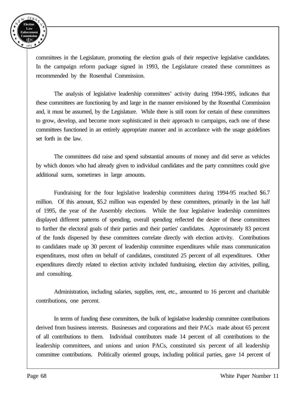

committees in the Legislature, promoting the election goals of their respective legislative candidates. In the campaign reform package signed in 1993, the Legislature created these committees as recommended by the Rosenthal Commission.

The analysis of legislative leadership committees' activity during 1994-1995, indicates that these committees are functioning by and large in the manner envisioned by the Rosenthal Commission and, it must be assumed, by the Legislature. While there is still room for certain of these committees to grow, develop, and become more sophisticated in their approach to campaigns, each one of these committees functioned in an entirely appropriate manner and in accordance with the usage guidelines set forth in the law.

The committees did raise and spend substantial amounts of money and did serve as vehicles by which donors who had already given to individual candidates and the party committees could give additional sums, sometimes in large amounts.

Fundraising for the four legislative leadership committees during 1994-95 reached \$6.7 million. Of this amount, \$5.2 million was expended by these committees, primarily in the last half of 1995, the year of the Assembly elections. While the four legislative leadership committees displayed different patterns of spending, overall spending reflected the desire of these committees to further the electoral goals of their parties and their parties' candidates. Approximately 83 percent of the funds dispersed by these committees correlate directly with election activity. Contributions to candidates made up 30 percent of leadership committee expenditures while mass communication expenditures, most often on behalf of candidates, constituted 25 percent of all expenditures. Other expenditures directly related to election activity included fundraising, election day activities, polling, and consulting.

Administration, including salaries, supplies, rent, etc., amounted to 16 percent and charitable contributions, one percent.

In terms of funding these committees, the bulk of legislative leadership committee contributions derived from business interests. Businesses and corporations and their PACs made about 65 percent of all contributions to them. Individual contributors made 14 percent of all contributions to the leadership committees, and unions and union PACs, constituted six percent of all leadership committee contributions. Politically oriented groups, including political parties, gave 14 percent of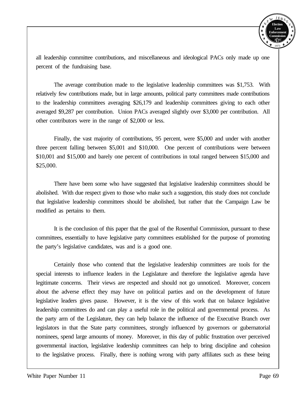

all leadership committee contributions, and miscellaneous and ideological PACs only made up one percent of the fundraising base.

The average contribution made to the legislative leadership committees was \$1,753. With relatively few contributions made, but in large amounts, political party committees made contributions to the leadership committees averaging \$26,179 and leadership committees giving to each other averaged \$9,287 per contribution. Union PACs averaged slightly over \$3,000 per contribution. All other contributors were in the range of \$2,000 or less.

Finally, the vast majority of contributions, 95 percent, were \$5,000 and under with another three percent falling between \$5,001 and \$10,000. One percent of contributions were between \$10,001 and \$15,000 and barely one percent of contributions in total ranged between \$15,000 and \$25,000.

There have been some who have suggested that legislative leadership committees should be abolished. With due respect given to those who make such a suggestion, this study does not conclude that legislative leadership committees should be abolished, but rather that the Campaign Law be modified as pertains to them.

It is the conclusion of this paper that the goal of the Rosenthal Commission, pursuant to these committees, essentially to have legislative party committees established for the purpose of promoting the party's legislative candidates, was and is a good one.

Certainly those who contend that the legislative leadership committees are tools for the special interests to influence leaders in the Legislature and therefore the legislative agenda have legitimate concerns. Their views are respected and should not go unnoticed. Moreover, concern about the adverse effect they may have on political parties and on the development of future legislative leaders gives pause. However, it is the view of this work that on balance legislative leadership committees do and can play a useful role in the political and governmental process. As the party arm of the Legislature, they can help balance the influence of the Executive Branch over legislators in that the State party committees, strongly influenced by governors or gubernatorial nominees, spend large amounts of money. Moreover, in this day of public frustration over perceived governmental inaction, legislative leadership committees can help to bring discipline and cohesion to the legislative process. Finally, there is nothing wrong with party affiliates such as these being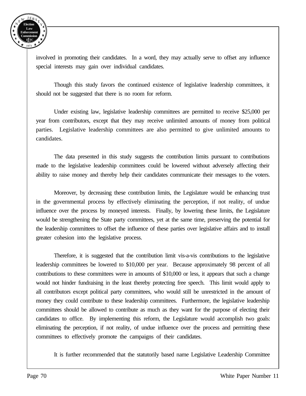

involved in promoting their candidates. In a word, they may actually serve to offset any influence special interests may gain over individual candidates.

Though this study favors the continued existence of legislative leadership committees, it should not be suggested that there is no room for reform.

Under existing law, legislative leadership committees are permitted to receive \$25,000 per year from contributors, except that they may receive unlimited amounts of money from political parties. Legislative leadership committees are also permitted to give unlimited amounts to candidates.

The data presented in this study suggests the contribution limits pursuant to contributions made to the legislative leadership committees could be lowered without adversely affecting their ability to raise money and thereby help their candidates communicate their messages to the voters.

Moreover, by decreasing these contribution limits, the Legislature would be enhancing trust in the governmental process by effectively eliminating the perception, if not reality, of undue influence over the process by moneyed interests. Finally, by lowering these limits, the Legislature would be strengthening the State party committees, yet at the same time, preserving the potential for the leadership committees to offset the influence of these parties over legislative affairs and to install greater cohesion into the legislative process.

Therefore, it is suggested that the contribution limit vis-a-vis contributions to the legislative leadership committees be lowered to \$10,000 per year. Because approximately 98 percent of all contributions to these committees were in amounts of \$10,000 or less, it appears that such a change would not hinder fundraising in the least thereby protecting free speech. This limit would apply to all contributors except political party committees, who would still be unrestricted in the amount of money they could contribute to these leadership committees. Furthermore, the legislative leadership committees should be allowed to contribute as much as they want for the purpose of electing their candidates to office. By implementing this reform, the Legislature would accomplish two goals: eliminating the perception, if not reality, of undue influence over the process and permitting these committees to effectively promote the campaigns of their candidates.

It is further recommended that the statutorily based name Legislative Leadership Committee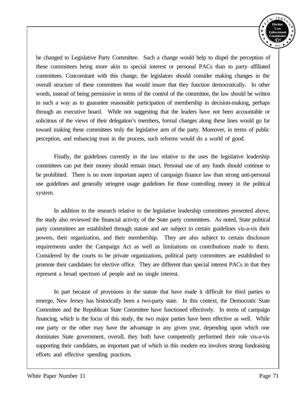

be changed to Legislative Party Committee. Such a change would help to dispel the perception of these committees being more akin to special interest or personal PACs than to party-affiliated committees. Concomitant with this change, the legislators should consider making changes in the overall structure of these committees that would insure that they function democratically. In other words, instead of being permissive in terms of the control of the committee, the law should be written in such a way as to guarantee reasonable participation of membership in decision-making, perhaps through an executive board. While not suggesting that the leaders have not been accountable or solicitous of the views of their delegation's members, formal changes along these lines would go far toward making these committees truly the legislative arm of the party. Moreover, in terms of public perception, and enhancing trust in the process, such reforms would do a world of good.

Finally, the guidelines currently in the law relative to the uses the legislative leadership committees can put their money should remain intact. Personal use of any funds should continue to be prohibited. There is no more important aspect of campaign finance law than strong anti-personal use guidelines and generally stringent usage guidelines for those controlling money in the political system.

In addition to the research relative to the legislative leadership committees presented above, the study also reviewed the financial activity of the State party committees. As noted, State political party committees are established through statute and are subject to certain guidelines vis-a-vis their powers, their organization, and their membership. They are also subject to certain disclosure requirements under the Campaign Act as well as limitations on contributions made to them. Considered by the courts to be private organizations, political party committees are established to promote their candidates for elective office. They are different than special interest PACs in that they represent a broad spectrum of people and no single interest.

In part because of provisions in the statute that have made it difficult for third parties to emerge, New Jersey has historically been a two-party state. In this context, the Democratic State Committee and the Republican State Committee have functioned effectively. In terms of campaign financing, which is the focus of this study, the two major parties have been effective as well. While one party or the other may have the advantage in any given year, depending upon which one dominates State government, overall, they both have competently performed their role vis-a-vis supporting their candidates, an important part of which in this modern era involves strong fundraising efforts and effective spending practices.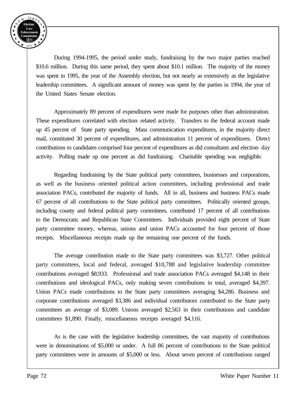

During 1994-1995, the period under study, fundraising by the two major parties reached \$10.6 million. During this same period, they spent about \$10.1 million. The majority of the money was spent in 1995, the year of the Assembly election, but not nearly as extensively as the legislative leadership committees. A significant amount of money was spent by the parties in 1994, the year of the United States Senate election.

Approximately 89 percent of expenditures were made for purposes other than administration. These expenditures correlated with election-related activity. Transfers to the federal account made up 45 percent of State party spending. Mass communication expenditures, in the majority direct mail, constituted 30 percent of expenditures, and administration 11 percent of expenditures. Direct contributions to candidates comprised four percent of expenditures as did consultants and election\_\_day activity. Polling made up one percent as did fundraising. Charitable spending was negligible.

Regarding fundraising by the State political party committees, businesses and corporations, as well as the business--oriented political action committees, including professional and trade association PACs, contributed the majority of funds. All in all, business and business PACs made 67 percent of all contributions to the State political party committees. Politically oriented groups, including county and federal political party committees, contributed 17 percent of all contributions to the Democratic and Republican State Committees. Individuals provided eight percent of State party committee money, whereas, unions and union PACs accounted for four percent of those receipts. Miscellaneous receipts made up the remaining one percent of the funds.

The average contribution made to the State party committees was \$3,727. Other political party committees, local and federal, averaged \$10,788 and legislative leadership committee contributions averaged \$8,933. Professional and trade association PACs averaged \$4,148 in their contributions and ideological PACs, only making seven contributions in total, averaged \$4,397. Union PACs made contributions to the State party committees averaging \$4,286. Business and corporate contributions averaged \$3,386 and individual contributors contributed to the State party committees an average of \$3,089. Unions averaged \$2,563 in their contributions and candidate committees \$1,890. Finally, miscellaneous receipts averaged \$4,116.

As is the case with the legislative leadership committees, the vast majority of contributions were in denominations of \$5,000 or under. A full 86 percent of contributions to the State political party committees were in amounts of \$5,000 or less. About seven percent of contributions ranged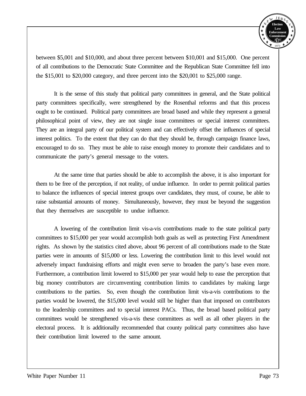

between \$5,001 and \$10,000, and about three percent between \$10,001 and \$15,000. One percent of all contributions to the Democratic State Committee and the Republican State Committee fell into the \$15,001 to \$20,000 category, and three percent into the \$20,001 to \$25,000 range.

It is the sense of this study that political party committees in general, and the State political party committees specifically, were strengthened by the Rosenthal reforms and that this process ought to be continued. Political party committees are broad based and while they represent a general philosophical point of view, they are not single issue committees or special interest committees. They are an integral party of our political system and can effectively offset the influences of special interest politics. To the extent that they can do that they should be, through campaign finance laws, encouraged to do so. They must be able to raise enough money to promote their candidates and to communicate the party's general message to the voters.

At the same time that parties should be able to accomplish the above, it is also important for them to be free of the perception, if not reality, of undue influence. In order to permit political parties to balance the influences of special interest groups over candidates, they must, of course, be able to raise substantial amounts of money. Simultaneously, however, they must be beyond the suggestion that they themselves are susceptible to undue influence.

A lowering of the contribution limit vis-a-vis contributions made to the state political party committees to \$15,000 per year would accomplish both goals as well as protecting First Amendment rights. As shown by the statistics cited above, about 96 percent of all contributions made to the State parties were in amounts of \$15,000 or less. Lowering the contribution limit to this level would not adversely impact fundraising efforts and might even serve to broaden the party's base even more. Furthermore, a contribution limit lowered to \$15,000 per year would help to ease the perception that big money contributors are circumventing contribution limits to candidates by making large contributions to the parties. So, even though the contribution limit vis-a-vis contributions to the parties would be lowered, the \$15,000 level would still be higher than that imposed on contributors to the leadership committees and to special interest PACs. Thus, the broad based political party committees would be strengthened vis-a-vis these committees as well as all other players in the electoral process. It is additionally recommended that county political party committees also have their contribution limit lowered to the same amount.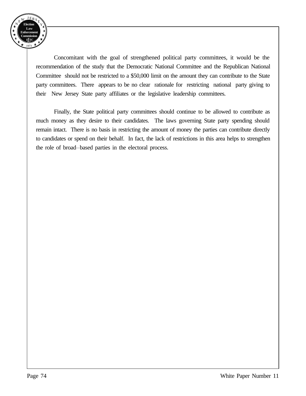

Concomitant with the goal of strengthened political party committees, it would be the recommendation of the study that the Democratic National Committee and the Republican National Committee should not be restricted to a \$50,000 limit on the amount they can contribute to the State party committees. There appears to be no clear rationale for restricting national party giving to their New Jersey State party affiliates or the legislative leadership committees.

Finally, the State political party committees should continue to be allowed to contribute as much money as they desire to their candidates. The laws governing State party spending should remain intact. There is no basis in restricting the amount of money the parties can contribute directly to candidates or spend on their behalf. In fact, the lack of restrictions in this area helps to strengthen the role of broad-based parties in the electoral process.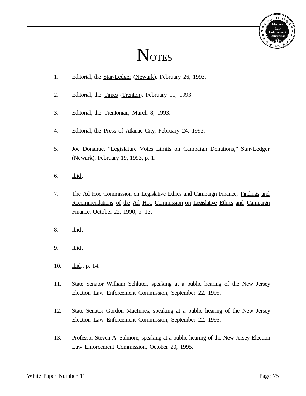## **NOTES**

- 1. Editorial, the Star-Ledger (Newark), February 26, 1993.
- 2. Editorial, the Times (Trenton), February 11, 1993.
- 3. Editorial, the Trentonian, March 8, 1993.
- 4. Editorial, the Press of Atlantic City, February 24, 1993.
- 5. Joe Donahue, "Legislature Votes Limits on Campaign Donations," Star-Ledger (Newark), February 19, 1993, p. 1.
- 6. Ibid.
- 7. The Ad Hoc Commission on Legislative Ethics and Campaign Finance, Findings and Recommendations of the Ad Hoc Commission on Legislative Ethics and Campaign Finance, October 22, 1990, p. 13.
- 8. Ibid.
- 9. Ibid.
- 10. Ibid., p. 14.
- 11. State Senator William Schluter, speaking at a public hearing of the New Jersey Election Law Enforcement Commission, September 22, 1995.
- 12. State Senator Gordon MacInnes, speaking at a public hearing of the New Jersey Election Law Enforcement Commission, September 22, 1995.
- 13. Professor Steven A. Salmore, speaking at a public hearing of the New Jersey Election Law Enforcement Commission, October 20, 1995.

**Election Law Enforcement Commission** *E EC L* 1973

 $JER$ 

Y E

N E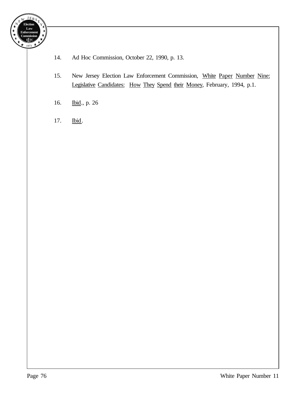

- 14. Ad Hoc Commission, October 22, 1990, p. 13.
- 15. New Jersey Election Law Enforcement Commission, White Paper Number Nine: Legislative Candidates: How They Spend their Money, February, 1994, p.1.
- 16. Ibid., p. 26
- 17. Ibid.